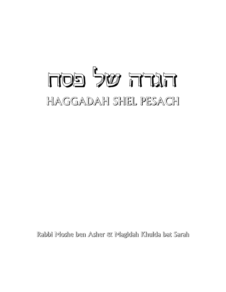# FOS 200 TTAT HAGGADAH SHEL PESACH

Rabbi Moshe ben Asher & Magidah Khulda bat Sarah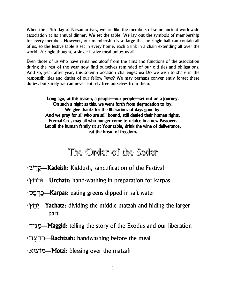When the 14th day of Nissan arrives, we are like the members of some ancient worldwide association at its annual dinner. We set the table. We lay out the symbols of membership for every member. However, our membership is so large that no single hall can contain all of us, so the festive table is set in every home, each a link in a chain extending all over the world. A single thought, a single festive meal unites us all.

Even those of us who have remained aloof from the aims and functions of the association during the rest of the year now find ourselves reminded of our old ties and obligations. And so, year after year, this solemn occasion challenges us: Do we wish to share in the responsibilities and duties of our fellow Jews? We may perhaps conveniently forget these duties, but surely we can never entirely free ourselves from them.

> Long ago, at this season, a people—our people—set out on a journey. On such a night as this, we went forth from degradation to joy. We give thanks for the liberations of days gone by. And we pray for all who are still bound, still denied their human rights. Eternal G-d, may all who hunger come to rejoice in a new Passover. Let all the human family sit at Your table, drink the wine of deliverance, eat the bread of freedom.

# The Order of the Seder

- \* הַרֵּשׁ Kadeish: Kiddush, sanctification of the Festival
- \* ירחץ —**Urchatz:** hand-washing in preparation for karpas
- \* CHT **Karpas:** eating greens dipped in salt water
- $\dot{\gamma}$   $\gamma$  $\gamma$  $\gamma$ —Yachatz: dividing the middle matzah and hiding the larger part
- \* מגיד $\blacksquare$  Maggid: telling the story of the Exodus and our liberation
- \* רחצה **-Rachtzah:** handwashing before the meal
- \* *ציא* <u>Aotzi: blessing</u> over the matzah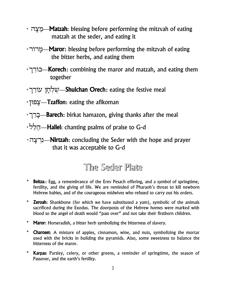- \* מצה Matzah: blessing before performing the mitzvah of eating matzah at the seder, and eating it
- בְּיְרוֹר<sup>∗</sup> **Maror**: blessing before performing the mitzvah of eating the bitter herbs, and eating them
- ∗ בוֹרֵך Korech: combining the maror and matzah, and eating them together
- שַׁלְחָן עוֹרֵך W—Shulchan Orech: eating the festive meal
- \* צָפוּן Tzaffon: eating the afikoman
- \* בֵּרֵך-Barech: birkat hamazon, giving thanks after the meal
- \*הלל —**Hallel:** chanting psalms of praise to G-d
- \*בְרְצָה→ **Nirtzah:** concluding the Seder with the hope and prayer that it was acceptable to G-d

# The Seder Platte

- **Beitza::** Egg, a remembrance of the Erev Pesach offering, and a symbol of springtime, fertility, and the giving of life. We are reminded of Pharaoh's threat to kill newborn Hebrew babies, and of the courageous midwives who refused to carry out his orders.
- **Zeroah:** Shankbone (for which we have substituted a yam), symbolic of the animals sacrificed during the Exodus. The doorposts of the Hebrew homes were marked with blood so the angel of death would "pass over" and not take their firstborn children.
- \* Maror: Horseradish, a bitter herb symbolizing the bitterness of slavery.
- **Charoset:** A mixture of apples, cinnamon, wine, and nuts, symbolizing the mortar used with the bricks in building the pyramids. Also, some sweetness to balance the bitterness of the maror.
- $\star$ **Karpas:** Parsley, celery, or other greens, a reminder of springtime, the season of Passover, and the earth's fertility.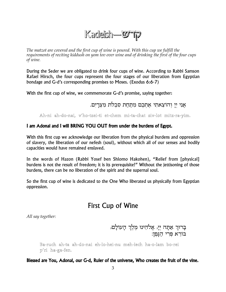# Kadeish-WTp

The matzot are covered and the first cup of wine is poured. With this cup we fulfill the requirements of reciting kiddush on yom tov over wine and of drinking the first of the four cups of wine.

During the Seder we are obligated to drink four cups of wine. According to Rabbi Samson Rafael Hirsch, the four cups represent the four stages of our liberation from Egyptian bondage and G-d's corresponding promises to Moses. (Exodus 6:6-7)

With the first cup of wine, we commemorate G-d's promise, saying together:

אני יי והוצאתי אתכם מתחת סבלת מצרים.

Ah-ni ah-do-nai, v'ho-tzei-ti et-chem mi-ta-chat siv-lot mitz-ra-yim.

## I am Adonai and I will BRING YOU OUT from under the burdens of Egypt.

With this first cup we acknowledge our liberation from the physical burdens and oppression of slavery, the liberation of our nefesh (soul), without which all of our senses and bodily capacities would have remained enslaved.

In the words of Hazon (Rabbi Yosef ben Shlomo Hakohen), "Relief from [physical] burdens is not the result of freedom; it is its prerequisite!" Without the jettisoning of those burdens, there can be no liberation of the spirit and the supernal soul.

So the first cup of wine is dedicated to the One Who liberated us physically from Egyptian oppression.

## **First Cup of Wine**

All say together:

בָרוּךְ אַתָּה יְיָ, אֱלֹהֵינוּ מֶלֶךְ הָעוֹלָם, בורא פרי הַגַּפֵן:

Ba-ruch ah-ta ah-do-nai eh-lo-hei-nu meh-lech ha-o-lam bo-rei p'ri ha-ga-fen.

Blessed are You, Adonai, our G-d, Ruler of the universe, Who creates the fruit of the vine.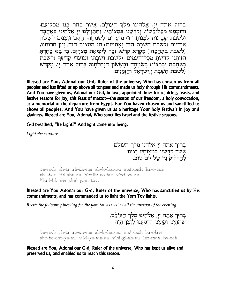בָרוּךְ אַתָּה יְיַ, אֱלֹהֵינוּ מֶלֶךְ הַעוֹלַם, אֲשֶׁר בַּחַר בַּנוּ מִכָּל־עַם, ורוממנו מכל־לשון, וקדשנו במצותיו, ותחו־לנו יי אלהינו באהבה ולשבת שבתות למנוחה ו) מועדים לשמחה, חגים וזמנים לששון את־יוֹם (לשבת השבת הזה ואת־יוֹם) חג המצוֹת הזה. זמן חרוּתנוּ, (לשבת באַהֱבָה,) מִקְרַא קְדֵשׁ, זֶכֶר לִיצִיאַת מִצְרַיִם. כִּי בָנוּ בַחַרְתַּ ואותנו קדשת מכל העמים. (לשבת ושבת) ומועדי קדשר (לשבת בִּאַהֲבָה וּבִרָצוֹן) בִּשְׂמִחָה וּבִשָּׂשוֹן הִנְחַלְתָּנוּ: בָּרוּךְ אַתָּה יִיָּ, מִקַדֵּשׁ ולשבת השבת וזשראל והזמנים:

Blessed are You, Adonai our G-d, Ruler of the universe, Who has chosen us from all peoples and has lifted us up above all tongues and made us holy through His commandments. And You have given us, Adonai our G-d, in love, appointed times for rejoicing, feasts, and festive seasons for ioy, this feast of matzot-the season of our freedom, a holy convocation, as a memorial of the departure from Egypt. For You haven chosen us and sanctified us above all peoples. And You have given us as a heritage Your holy festivals in joy and gladness. Blessed are You, Adonai, Who sanctifies Israel and the festive seasons.

G-d breathed, "Be Light!" And light came into being.

Light the candles:

בָרוּךְ אַתָה יִיַ אֵלֹהֵנוּ מֵלֵךְ הָעוֹלָם אֲשֶר קִדְּשָנוּ בְּמִצְוֹתָיו וְצִוָּנוּ<br>לְהַדְלִיק נֵר שֵל יוֹם טוֹב.

Ba-ruch ah-ta ah-do-nai eh-lo-hei-nu meh-lech ha-o-lam ah-sher kid-sha-nu b'mitz-vo-tav v'tzi-va-nu l'had-lik ner shel yom tov.

### Blessed are You Adonai our G-d, Ruler of the universe, Who has sanctified us by His commandments, and has commanded us to light the Yom Tov lights.

Recite the following blessing for the yom tov as well as all the mitzvot of the evening.

בְרוּךְ אַתָּה יְיָ, אֱלֹהֵינוּ מֶלֶךְ הָעוֹלָם, ...<br>שהחינו וקימנו והגיענו לזמן הזה:

Ba-ruch ah-ta ah-do-nai eh-lo-hei-nu meh-lech ha-olam she-he-che-ya-nu v'ki-ya-ma-nu v'hi-gi-ah-nu laz-man ha-zeh.

Blessed are You, Adonai our G-d, Ruler of the universe, Who has kept us alive and preserved us, and enabled us to reach this season.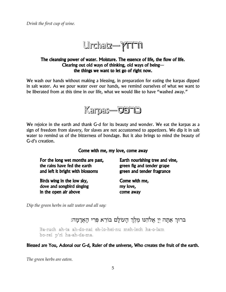

## The cleansing power of water. Moisture. The essence of life, the flow of life. Clearing out old ways of thinking, old ways of beingthe things we want to let go of right now.

We wash our hands without making a blessing, in preparation for eating the karpas dipped in salt water. As we pour water over our hands, we remind ourselves of what we want to be liberated from at this time in our life, what we would like to have "washed away."



We rejoice in the earth and thank G-d for its beauty and wonder. We eat the karpas as a sign of freedom from slavery, for slaves are not accustomed to appetizers. We dip it in salt water to remind us of the bitterness of bondage. But it also brings to mind the beauty of G-d's creation.

Come with me, my love, come away

For the long wet months are past, the rains have fed the earth and left it bright with blossoms

Birds wing in the low sky, dove and songbird singing in the open air above

Earth nourishing tree and vine, green fig and tender grape green and tender fragrance

Come with me, my love, come away

Dip the green herbs in salt water and all say:

ברוך אתה יי אלהנו מלך העולם בורא פרי האדמה:

Ba-ruch ah-ta ah-do-nai eh-lo-hei-nu meh-lech ha-o-lam bo-rei p'ri ha-ah-da-ma.

Blessed are You, Adonai our G-d, Ruler of the universe, Who creates the fruit of the earth.

The green herbs are eaten.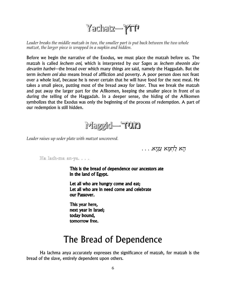

Leader breaks the middle matzah in two, the smaller part is put back between the two whole matzot, the larger piece is wrapped in a napkin and hidden.

Before we begin the narrative of the Exodus, we must place the matzah before us. The matzah is called *lechem oni*, which is interpreted by our Sages as *lechem sheonin alav devarim harbei*—the bread over which many things are said, namely the Haggadah. But the term *lechem oni* also means bread of affliction and poverty. A poor person does not feast over a whole loaf, because he is never certain that he will have food for the next meal. He takes a small piece, putting most of the bread away for later. Thus we break the matzah and put away the larger part for the Afikomen, keeping the smaller piece in front of us during the telling of the Haggadah. In a deeper sense, the hiding of the Afikomen symbolizes that the Exodus was only the beginning of the process of redemption. A part of our redemption is still hidden.



Leader raises up seder plate with matzot uncovered.

ּהָא לַחִמָּא עַנִיָּא. . . .

Ha lach-ma an-ya...

This is the bread of dependence our ancestors ate in the land of Egypt.

Let all who are hungry come and eat; Let all who are in need come and celebrate our Passover.

This year here, next year in Israel; today bound. tomorrow free.

# The Bread of Dependence

Ha lachma anya accurately expresses the significance of matzah, for matzah is the bread of the slave, entirely dependent upon others.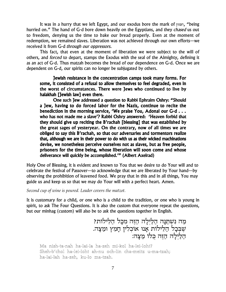It was in a hurry that we left Egypt, and our exodus bore the mark of הפוזון, "being hurried on." The hand of G-d bore down heavily on the Egyptians, and they *chased* us out to freedom, denying us the time to bake our bread properly. Even at the moment of redemption, we remained slaves. Liberation was not achieved through our own efforts—we received it from G-d through our oppressors.

This fact, that even at the moment of liberation we were subject to the will of others, and forced to depart, stamps the Exodus with the seal of the Almighty, defining it as an act of G-d. Thus matzah becomes the bread of our dependence on G-d. Once we are dependent on G-d, our spirits can no longer be subjugated by others.

Jewish resistance in the concentration camps took many forms. For some, it consisted of a refusal to allow themselves to feel degraded, even in the worst of circumstances. There were Jews who continued to live by halakhah [Jewish law] even there.

One such Jew addressed a question to Rabbi Ephraim Oshry: "Should a Jew, having to do forced labor for the Nazis, continue to recite the benediction in the morning service, 'We praise You, Adonai our G-d . . . who has not made me a slave'? Rabbi Oshry answered: 'Heaven forbid that they should give up reciting the B'rachah [blessing] that was established by the great sages of yesteryear. On the contrary, now of all times we are obliged to say this B'rachah, so that our adversaries and tormentors realize that, although we are in their power to do with us as their wicked machinations devise, we nonetheless perceive ourselves not as slaves, but as free people, prisoners for the time being, whose liberation will soon come and whose deliverance will quickly be accomplished.'" (Albert Axelrad)

Holy One of Blessing, it is evident and known to You that we desire to do Your will and to celebrate the festival of Passover—to acknowledge that we are liberated by Your hand—by observing the prohibition of leavened food. We pray that in this and in all things, You may guide us and keep us so that we may do Your will with a perfect heart. Amen.

*Second cup of wine is poured. Leader covers the matzot.*

It is customary for a child, or one who is a child to the tradition, or one who is young in spirit, to ask The Four Questions. It is also the custom that everyone repeat the questions, but our minhag (custom) will also be to ask the questions together in English.

> <u>מַה נִשְׁתַנָּה הַלַיְלָה הַזֵּה מכָל הַלֵּ</u>ילוֹת? שִׁבְּכָל הַלִילוֹת אָנו אוכלין הָמֵץ ומַצָה. .<br>הַלַיְלָה הַזֵּה כִּלוֹ מַצַּה:

Ma nish-ta-nah ha-lai-la ha-zeh mi-kol ha-lei-loht? Sheh-b'chol ha-lei-loht ah-nu och-lin cha-meitz u-ma-tzah; ha-lai-lah ha-zeh, ku-lo ma-tzah.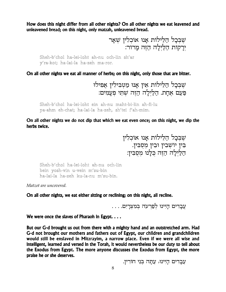How does this night differ from all other nights? On all other nights we eat leavened and unleavened bread; on this night, only matzah, unleavened bread.

> שֶׁבְּכָל הַלֵּילוֹת אֲנוּ אוֹכְלִין שָׁאַר ירקוֹת הלילה הזה מרוֹר:

Sheh-b'chol ha-lei-loht ah-nu och-lin sh'ar y'ra-kot; ha-lai-la ha-zeh ma-ror.

On all other nights we eat all manner of herbs; on this night, only those that are bitter.

שבכל הלילות אין אנו מטבילין אפילו פַּעַם אַחֲת. הַלַּיְלַה הַזֶּה שָׁתֵּי פִעֲמִים:

Sheh-b'chol ha-lei-loht ein ah-nu maht-bi-lin ah-fi-lu pa-ahm eh-chat; ha-lai-la ha-zeh, sh'tei f'ah-mim.

On all other nights we do not dip that which we eat even once; on this night, we dip the herbs twice.

> שבכל הלילות אנו אוכלין בִּין יוֹשָׁבִין וּבֵין מִסְבִין. הַלַיִלַה הַזָּה כַּלְנוּ מסבין:

Sheh-b'chol ha-lei-loht ah-nu och-lin bein yosh-vin u-vein m'su-bin ha-lai-la ha-zeh ku-la-nu m'su-bin.

Matzot are uncovered.

On all other nights, we eat either sitting or reclining; on this night, all recline.

עֵבָדִים הַיִּינוּ לִפַרְעֹה בִּמִצְרַיִם. . . .

We were once the slaves of Pharaoh in Egypt. . . .

But our G-d brought us out from there with a mighty hand and an outstretched arm. Had G-d not brought our mothers and fathers out of Egypt, our children and grandchildren would still be enslaved in Mitzrayim, a narrow place. Even if we were all wise and intelligent, learned and versed in the Torah, it would nevertheless be our duty to tell about the Exodus from Egypt. The more anyone discusses the Exodus from Egypt, the more praise he or she deserves.

עַבִדים הַיִּינוּ, עַתַּה בִּנֵי חוֹרִין.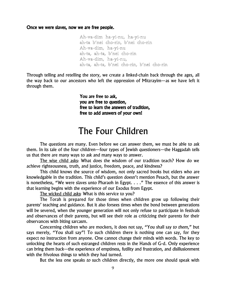Once we were slaves, now we are free people.

Ah-va-dim ha-yi-nu, ha-yi-nu ah-ta b'nei cho-rin, b'nei cho-rin Ah-va-dim, ha-yi-nu ah-ta, ah-ta, b'nei cho-rin Ah-va-dim, ha-yi-nu, ah-ta, ah-ta, b'nei cho-rin, b'nei cho-rin

Through telling and retelling the story, we create a linked-chain back through the ages, all the way back to our ancestors who left the oppression of Mitzrayim—as we have left it through them.

> You are free to ask, you are free to question, free to learn the answers of tradition, free to add answers of your own!

# The Four Children

The questions are many. Even before we can answer them, we must be able to ask them. In its tale of the four children—four types of Jewish questioners—the Haggadah tells us that there are many ways to ask and many ways to answer.

The wise child asks: What does the wisdom of our tradition teach? How do we achieve righteousness, truth, and justice, freedom, peace, and kindness?

This child knows the source of wisdom, not only sacred books but elders who are knowledgable in the tradition. This child's question doesn't mention Pesach, but the answer is nonetheless, "We were slaves unto Pharaoh in Egypt. . . ." The essence of this answer is that learning begins with the experience of our Exodus from Egypt.

The wicked child asks: What is this service to you?

The Torah is prepared for those times when children grow up following their parents' teaching and guidance. But it also forsees times when the bond between generations will be severed, when the younger generation will not only refuse to participate in festivals and observances of their parents, but will see their role as criticizing their parents for their observances with biting sarcasm.

Concerning children who are mockers, it does not say, "You shall say to them," but says merely, "You shall say"! To such children there is nothing one can say, for they expect no instruction from anyone. One cannot change their minds with words. The key to unlocking the hearts of such estranged children rests in the Hands of G-d. Only experience can bring them back—the experience of emptiness, futility and frustration, and disillusionment with the frivolous things to which they had turned.

But the less one speaks to such children directly, the more one should speak with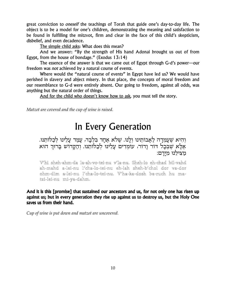great conviction to *oneself* the teachings of Torah that guide one's day-to-day life. The object is to be a model for one's children, demonstrating the meaning and satisfaction to be found in fulfilling the mitzvot, firm and clear in the face of this child's skepticism, disbelief, and even decadence.

The simple child asks: What does this mean?

And we answer: "By the strength of His hand Adonai brought us out of from Egypt, from the house of bondage." (Exodus 13:14)

The essence of the answer is that we came out of Egypt through G-d's power-our freedom was *not* achieved by a natural course of events.

Where would the "natural course of events" in Egypt have led us? We would have perished in slavery and abject misery. In that place, the concepts of moral freedom and our resemblance to G-d were entirely absent. Our going to freedom, against all odds, was anything but the natural order of things.

And for the child who doesn't know how to ask, you must tell the story.

Matzot are covered and the cup of wine is raised.

# In Every Generation

וְהִיא שֵׁעֲמִדַה לַאֲבוֹתֵינוּ וְלַנוּ. שֵׁלֹא אֲחַד בִּלְבָד, עֲמַד עַלֵינוּ לְכַלוֹתֵנוּ. אַלָא שַׁבְבָל דור וָדור, עומדים עָלֵינוּ לְבַלוֹתֵנוּ. וְהַקָּדוֹשׁ בָרוּךְ הוּא מצילנו מידם:

V'hi sheh-ahm-da la-ah-vo-tei-nu v'la-nu. Sheh-lo eh-chad bil-vahd ah-mahd a-lei-nu l'cha-lo-tei-nu eh-lah sheh-b'chol dor va-dor ohm-dim a-lei-nu l'cha-lo-tei-nu. V'ha-ka-dosh ba-ruch hu matzi-lei-nu mi-ya-dahm.

And it is this [promise] that sustained our ancestors and us, for not only one has risen up against us; but in every generation they rise up against us to destroy us, but the Holy One saves us from their hand.

Cup of wine is put down and matzot are uncovered.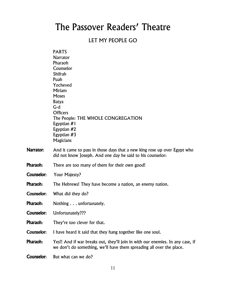# The Passover Readers' Theatre

## LET MY PEOPLE GO

|                   | <b>PARTS</b>                                                                                                                                           |
|-------------------|--------------------------------------------------------------------------------------------------------------------------------------------------------|
|                   | <b>Narrator</b>                                                                                                                                        |
|                   | Pharaoh                                                                                                                                                |
|                   | Counselor<br><b>Shifrah</b>                                                                                                                            |
|                   | Puah                                                                                                                                                   |
|                   | Yocheved                                                                                                                                               |
|                   | <b>Miriam</b>                                                                                                                                          |
|                   | Moses                                                                                                                                                  |
|                   | <b>Batya</b>                                                                                                                                           |
|                   | $G-d$                                                                                                                                                  |
|                   | <b>Officers</b>                                                                                                                                        |
|                   | The People: THE WHOLE CONGREGATION                                                                                                                     |
|                   | Egyptian $#1$                                                                                                                                          |
|                   | Egyptian #2                                                                                                                                            |
|                   | Egyptian $#3$                                                                                                                                          |
|                   | Magicians                                                                                                                                              |
| <b>Narrator:</b>  | And it came to pass in those days that a new king rose up over Egypt who<br>did not know Joseph. And one day he said to his counselor:                 |
| Pharaoh:          | There are too many of them for their own good!                                                                                                         |
| <b>Counselor:</b> | Your Majesty?                                                                                                                                          |
| Pharaoh:          | The Hebrews! They have become a nation, an enemy nation.                                                                                               |
| Counselor:        | What did they do?                                                                                                                                      |
| Pharaoh:          | Nothing unfortunately.                                                                                                                                 |
| Counselor:        | Unfortunately???                                                                                                                                       |
| Pharaoh:          | They're too clever for that.                                                                                                                           |
| Counselor:        | I have heard it said that they hang together like one soul.                                                                                            |
| Pharaoh:          | Yes!! And if war breaks out, they'll join in with our enemies. In any case, if<br>we don't do something, we'll have them spreading all over the place. |
|                   |                                                                                                                                                        |

Counselor: But what can we do?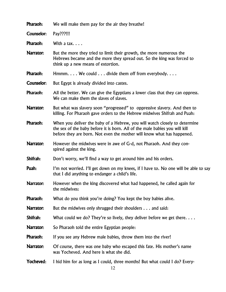| Pharaoh:         | We will make them pay for the air they breathe!                                                                                                                                                                                     |
|------------------|-------------------------------------------------------------------------------------------------------------------------------------------------------------------------------------------------------------------------------------|
| Counselor:       | Pay???!!!                                                                                                                                                                                                                           |
| Pharaoh:         | With a tax. $\ldots$                                                                                                                                                                                                                |
| Narrator:        | But the more they tried to limit their growth, the more numerous the<br>Hebrews became and the more they spread out. So the king was forced to<br>think up a new means of extortion.                                                |
| Pharaoh:         | $Hmmm$ We could $\ldots$ divide them off from everybody                                                                                                                                                                             |
| Counselor:       | But Egypt is already divided into castes.                                                                                                                                                                                           |
| Pharaoh:         | All the better. We can give the Egyptians a lower class that they can oppress.<br>We can make them the slaves of slaves.                                                                                                            |
| <b>Narrator:</b> | But what was slavery soon "progressed" to oppressive slavery. And then to<br>killing. For Pharaoh gave orders to the Hebrew midwives Shifrah and Puah:                                                                              |
| Pharaoh:         | When you deliver the baby of a Hebrew, you will watch closely to determine<br>the sex of the baby before it is born. All of the male babies you will kill<br>before they are born. Not even the mother will know what has happened. |
| <b>Narrator:</b> | However the midwives were in awe of G-d, not Pharaoh. And they con-<br>spired against the king.                                                                                                                                     |
| Shifrah:         | Don't worry, we'll find a way to get around him and his orders.                                                                                                                                                                     |
| Puah:            | I'm not worried. I'll get down on my knees, if I have to. No one will be able to say<br>that I did anything to endanger a child's life.                                                                                             |
| Narrator:        | However when the king discovered what had happened, he called again for<br>the midwives:                                                                                                                                            |
| Pharaoh:         | What do you think you're doing? You kept the boy babies alive.                                                                                                                                                                      |
| <b>Narrator:</b> | But the midwives only shrugged their shoulders and said:                                                                                                                                                                            |
| Shifrah:         | What could we do? They're so lively, they deliver before we get there. $\dots$                                                                                                                                                      |
| Narrator:        | So Pharaoh told the entire Egyptian people:                                                                                                                                                                                         |
| Pharaoh:         | If you see any Hebrew male babies, throw them into the river!                                                                                                                                                                       |
| Narrator:        | Of course, there was one baby who escaped this fate. His mother's name<br>was Yocheved. And here is what she did.                                                                                                                   |
| <b>Yocheved:</b> | I hid him for as long as I could, three months! But what could I do? Every-<br>12                                                                                                                                                   |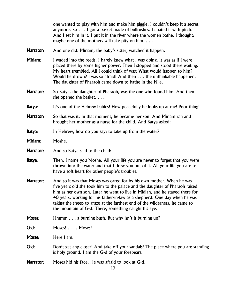one wanted to play with him and make him giggle. I couldn't keep it a secret anymore. So . . . I got a basket made of bullrushes. I coated it with pitch. And I set him in it. I put it in the river where the women bathe. I thought: maybe one of the mothers will take pity on him.  $\ldots$ 

- Narrator: And one did. Miriam, the baby's sister, watched it happen.
- **Miriam:** I waded into the reeds. I barely knew what I was doing. It was as if I were placed there by some higher power. Then I stopped and stood there waiting. My heart trembled. All I could think of was: What would happen to him? Would he drown? I was so afraid! And then . . . the unthinkable happened. The daughter of Pharaoh came down to bathe in the Nile.
- Narrator: So Batya, the daughter of Pharaoh, was the one who found him. And then she opened the basket. . . .
- **Batya:** It's one of the Hebrew babies! How peacefully he looks up at me! Poor thing!
- Narrator: So that was it. In that moment, he became her son. And Miriam ran and brought her mother as a nurse for the child. And Batya asked:
- **Batya:** In Hebrew, how do you say: to take up from the water?
- Miriam: Moshe.
- Narrator: And so Batya said to the child:
- **Batya:** Then, I name you Moshe. All your life you are never to forget that you were thrown into the water and that I drew you out of it. All your life you are to have a soft heart for other people's troubles.
- Narrator: And so it was that Moses was cared for by his own mother. When he was five years old she took him to the palace and the daughter of Pharaoh raised him as her own son. Later he went to live in Midian, and he stayed there for 40 years, working for his father-in-law as a shepherd. One day when he was taking the sheep to graze at the farthest end of the wilderness, he came to the mountain of G-d. There, something caught his eye.
- **Moses:** Hmmm . . . a burning bush. But why isn't it burning up?
- G-d: Moses! . . . . Moses!

Moses: Here I am.

- **G-d:** Don't get any closer! And take off your sandals! The place where you are standing is holy ground. I am the G-d of your forebears.
- Narrator: Moses hid his face. He was afraid to look at G-d.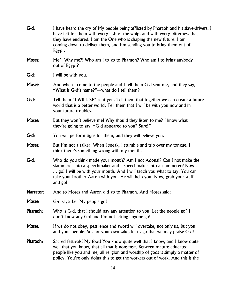| $G-d:$        | I have heard the cry of My people being afflicted by Pharaoh and his slave-drivers. I<br>have felt for them with every lash of the whip, and with every bitterness that<br>they have endured. I am the One who is shaping the new future. I am<br>coming down to deliver them, and I'm sending you to bring them out of<br>Egypt. |
|---------------|-----------------------------------------------------------------------------------------------------------------------------------------------------------------------------------------------------------------------------------------------------------------------------------------------------------------------------------|
| Moses:        | Me?! Why me?! Who am I to go to Pharaoh? Who am I to bring anybody<br>out of Egypt?                                                                                                                                                                                                                                               |
| $G-d:$        | I will be with you.                                                                                                                                                                                                                                                                                                               |
| <b>Moses:</b> | And when I come to the people and I tell them G-d sent me, and they say,<br>"What is G-d's name?"—what do I tell them?                                                                                                                                                                                                            |
| $G-d:$        | Tell them "I WILL BE" sent you. Tell them that together we can create a future<br>world that is a better world. Tell them that I will be with you now and in<br>your future troubles.                                                                                                                                             |
| Moses:        | But they won't believe me! Why should they listen to me? I know what<br>they're going to say: "G-d appeared to you? Sure!"                                                                                                                                                                                                        |
| $G-d:$        | You will perform signs for them, and they will believe you.                                                                                                                                                                                                                                                                       |
| <b>Moses:</b> | But I'm not a talker. When I speak, I stumble and trip over my tongue. I<br>think there's something wrong with my mouth.                                                                                                                                                                                                          |
| $G-d:$        | Who do you think made your mouth? Am I not Adonai? Can I not make the<br>stammerer into a speechmaker and a speechmaker into a stammerer? Now.<br>go! I will be with your mouth. And I will teach you what to say. You can<br>take your brother Aaron with you. He will help you. Now, grab your staff<br>and go!                 |
| Narrator:     | And so Moses and Aaron did go to Pharaoh. And Moses said:                                                                                                                                                                                                                                                                         |
| <b>Moses:</b> | G-d says: Let My people go!                                                                                                                                                                                                                                                                                                       |
| Pharaoh:      | Who is G-d, that I should pay any attention to you! Let the people go? I<br>don't know any G-d and I'm not letting anyone go!                                                                                                                                                                                                     |
| Moses:        | If we do not obey, pestilence and sword will overtake, not only us, but you<br>and your people. So, for your own sake, let us go that we may praise G-d!                                                                                                                                                                          |
| Pharaoh:      | Sacred festivals! My foot! You know quite well that I know, and I know quite<br>well that you know, that all that is nonsense. Between mature educated<br>people like you and me, all religion and worship of gods is simply a matter of<br>policy. You're only doing this to get the workers out of work. And this is the        |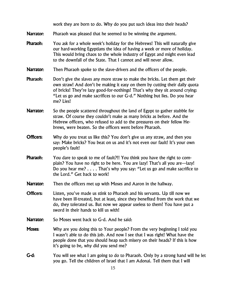work they are born to do. Why do you put such ideas into their heads?

- **Narrator:** Pharaoh was pleased that he seemed to be winning the argument.
- **Pharaoh:** You ask for a whole week's holiday for the Hebrews! This will naturally give our hard-working Egyptians the idea of having a week or more of holiday. This would bring chaos to the whole industry of Egypt and might even lead to the downfall of the State. That I cannot and will never allow.
- Narrator: Then Pharaoh spoke to the slave-drivers and the officers of the people.
- **Pharaoh:** Don't give the slaves any more straw to make the bricks. Let them get their own straw! And don't be making it easy on them by cutting their daily quota of bricks! They're lazy good-for-nothings! That's why they sit around crying: "Let us go and make sacrifices to our G-d." Nothing but lies. Do you hear me? Lies!
- Narrator: So the people scattered throughout the land of Egypt to gather stubble for straw. Of course they couldn't make as many bricks as before. And the Hebrew officers, who refused to add to the pressures on their fellow Hebrews, were beaten. So the officers went before Pharaoh.
- **Officers:** Why do you treat us like this? You don't give us any straw, and then you say: Make bricks? You beat on us and it's not even our fault! It's your own people's fault!
- **Pharaoh:** You dare to speak to me of fault?!! You think you have the right to complain? You have no right to be here. You are lazy! That's all you are—lazy! Do you hear me? . . . . That's why you say: "Let us go and make sacrifice to the Lord." Get back to work!
- Narrator: Then the officers met up with Moses and Aaron in the hallway.
- **Officers:** Listen, you've made us stink to Pharaoh and his servants. Up till now we have been ill-treated, but at least, since they benefited from the work that we do, they tolerated us. But now we appear useless to them! You have put a sword in their hands to kill us with!
- Narrator: So Moses went back to G-d. And he said:
- Moses: Why are you doing this to Your people? From the very beginning I told you I wasn't able to do this job. And now I see that I was right! What have the people done that you should heap such misery on their heads? If this is how it's going to be, why did you send me?
- G-d: You will see what I am going to do to Pharaoh. Only by a strong hand will he let you go. Tell the children of Israel that I am Adonai. Tell them that I will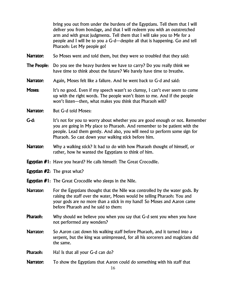bring you out from under the burdens of the Egyptians. Tell them that I will deliver you from bondage, and that I will redeem you with an outstretched arm and with great judgments. Tell them that I will take you to Me for a people and I will be to you a G-d—despite all that is happening. Go and tell Pharaoh: Let My people go!

- Narrator: So Moses went and told them, but they were so troubled that they said:
- **The People:** Do you see the heavy burdens we have to carry? Do you really think we have time to think about the future? We barely have time to breathe.
- Narrator: Again, Moses felt like a failure. And he went back to G-d and said:
- **Moses:** It's no good. Even if my speech wasn't so clumsy, I can't ever seem to come up with the right words. The people won't listen to me. And if the people won't listen—then, what makes you think that Pharaoh will?
- Narrator: But G-d told Moses:
- **G-d:** It's not for you to worry about whether you are good enough or not. Remember you are going in My place to Pharaoh. And remember to be patient with the people. Lead them gently. And also, you will need to perform some sign for Pharaoh. So cast down your walking stick before him.
- Narrator: Why a walking stick? It had to do with how Pharaoh thought of himself, or rather, how he wanted the Egyptians to think of him.
- **Egyptian #1:** Have you heard? He calls himself: The Great Crocodile.
- Egyptian #2: The great what?
- **Egyptian #1:** The Great Crocodile who sleeps in the Nile.
- **Narrator:** For the Egyptians thought that the Nile was controlled by the water gods. By raising the staff over the water, Moses would be telling Pharaoh: You and your gods are no more than a stick in my hand! So Moses and Aaron came before Pharaoh and he said to them:
- **Pharaoh:** Why should we believe you when you say that G-d sent you when you have not performed any wonders?
- Narrator: So Aaron cast down his walking staff before Pharaoh, and it turned into a serpent, but the king was unimpressed, for all his sorcerers and magicians did the same.
- **Pharaoh:** Ha! Is that all your G-d can do?
- Narrator: To show the Egyptians that Aaron could do something with his staff that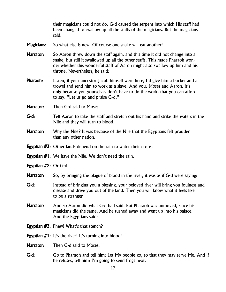their magicians could not do, G-d caused the serpent into which His staff had been changed to swallow up all the staffs of the magicians. But the magicians said:

- **Magicians:** So what else is new! Of course one snake will eat another!
- **Narrator:** So Aaron threw down the staff again, and this time it did not change into a snake, but still it swallowed up all the other staffs. This made Pharaoh wonder whether this wonderful staff of Aaron might also swallow up him and his throne. Nevertheless, he said:
- Pharaoh: Listen, if your ancestor Jacob himself were here, I'd give him a bucket and a trowel and send him to work as a slave. And you, Moses and Aaron, it's only because you yourselves don't have to do the work, that you can afford to say: "Let us go and praise G-d."
- Narrator: Then G-d said to Moses.
- G-d: Tell Aaron to take the staff and stretch out his hand and strike the waters in the Nile and they will turn to blood.
- **Narrator:** Why the Nile? It was because of the Nile that the Egyptians felt prouder than any other nation.
- **Egyptian #3:** Other lands depend on the rain to water their crops.
- Egyptian #1: We have the Nile. We don't need the rain.
- Egyptian #2: Or G-d.
- **Narrator:** So, by bringing the plague of blood in the river, it was as if G-d were saying:
- G-d: Instead of bringing you a blessing, your beloved river will bring you foulness and disease and drive you out of the land. Then you will know what it feels like to be a stranger
- Narrator: And so Aaron did what G-d had said. But Pharaoh was unmoved, since his magicians did the same. And he turned away and went up into his palace. And the Egyptians said:
- Egyptian #3: Phew! What's that stench?
- **Egyptian**  $#1$ **:** It's the river! It's turning into blood!
- Narrator: Then G-d said to Moses:
- G-d: Go to Pharaoh and tell him: Let My people go, so that they may serve Me. And if he refuses, tell him: I'm going to send frogs next.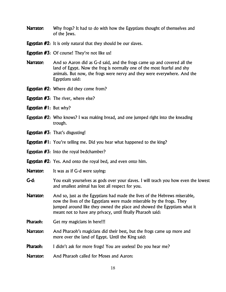- **Narrator:** Why frogs? It had to do with how the Egyptians thought of themselves and of the Jews.
- **Egyptian #2:** It is only natural that they should be our slaves.
- **Egyptian #3:** Of course! They're not like us!
- **Narrator:** And so Aaron did as G-d said, and the frogs came up and covered all the land of Egypt. Now the frog is normally one of the most fearful and shy animals. But now, the frogs were nervy and they were everywhere. And the Egyptians said:
- **Egyptian #2:** Where did they come from?
- **Egyptian**  $#3$ **:** The river, where else?
- **Egyptian**  $#1$ **:** But why?
- **Egyptian #2:** Who knows? I was making bread, and one jumped right into the kneading trough.
- Egyptian #3: That's disgusting!
- **Egyptian #1:** You're telling me. Did you hear what happened to the king?
- **Egyptian #3:** Into the royal bedchamber?
- **Egyptian #2:** Yes. And onto the royal bed, and even onto him.
- **Narrator:** It was as if G-d were saying:
- G-d: You exalt yourselves as gods over your slaves. I will teach you how even the lowest and smallest animal has lost all respect for you.
- Narrator: And so, just as the Egyptians had made the lives of the Hebrews miserable, now the lives of the Egyptians were made miserable by the frogs. They jumped around like they owned the place and showed the Egyptians what it meant not to have any privacy, until finally Pharaoh said:
- **Pharaoh:** Get my magicians in here!!!
- Narrator: And Pharaoh's magicians did their best, but the frogs came up more and more over the land of Egypt. Until the King said:
- **Pharaoh:** I didn't ask for more frogs! You are useless! Do you hear me?
- Narrator: And Pharaoh called for Moses and Aaron: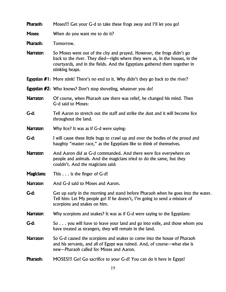Pharaoh: Moses!!! Get your G-d to take these frogs away and I'll let you go!

**Moses:** When do you want me to do it?

Pharaoh: Tomorrow.

Narrator: So Moses went out of the city and prayed. However, the frogs didn't go back to the river. They died—right where they were at, in the houses, in the courtyards, and in the fields. And the Egyptians gathered them together in stinking heaps.

- **Egyptian #1:** More stink! There's no end to it. Why didn't they go back to the river?
- **Egyptian #2:** Who knows? Don't stop shoveling, whatever you do!
- **Narrator:** Of course, when Pharaoh saw there was relief, he changed his mind. Then G-d said to Moses:
- G-d: Tell Aaron to stretch out the staff and strike the dust and it will become lice throughout the land.
- **Narrator:** Why lice? It was as if G-d were saying:
- G-d: I will cause these little bugs to crawl up and over the bodies of the proud and haughty "master race," as the Egyptians like to think of themselves.
- Narrator: And Aaron did as G-d commanded. And there were lice everywhere on people and animals. And the magicians tried to do the same, but they couldn't. And the magicians said:
- Magicians: This . . . is the finger of G-d!
- Narrator: And G-d said to Moses and Aaron.
- G-d: Get up early in the morning and stand before Pharaoh when he goes into the water. Tell him: Let My people go! If he doesn't, I'm going to send a mixture of scorpions and snakes on him.
- Narrator: Why scorpions and snakes? It was as if G-d were saying to the Egyptians:
- G-d: So . . . you will have to leave your land and go into exile, and those whom you have treated as strangers, they will remain in the land.
- Narrator: So G-d caused the scorpions and snakes to come into the house of Pharaoh and his servants, and all of Egypt was ruined. And, of course—what else is new—Pharaoh called for Moses and Aaron.
- Pharaoh: MOSES!!! Go! Go sacrifice to your G-d! You can do it here in Egypt!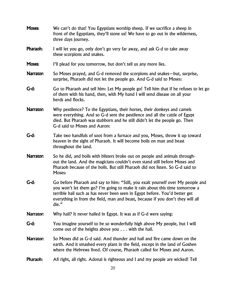| Moses:           | We can't do that! You Egyptians worship sheep. If we sacrifice a sheep in<br>front of the Egyptians, they'll stone us! We have to go out in the wilderness,<br>three days journey.                                                                                                                                                        |
|------------------|-------------------------------------------------------------------------------------------------------------------------------------------------------------------------------------------------------------------------------------------------------------------------------------------------------------------------------------------|
| Pharaoh:         | I will let you go, only don't go very far away, and ask G-d to take away<br>these scorpions and snakes.                                                                                                                                                                                                                                   |
| Moses:           | I'll plead for you tomorrow, but don't tell us any more lies.                                                                                                                                                                                                                                                                             |
| Narrator:        | So Moses prayed, and G-d removed the scorpions and snakes—but, surprise,<br>surprise, Pharaoh did not let the people go. And G-d said to Moses:                                                                                                                                                                                           |
| G-d:             | Go to Pharaoh and tell him: Let My people go! Tell him that if he refuses to let go<br>of them with his hand, then, with My hand I will send disease on all your<br>herds and flocks.                                                                                                                                                     |
| Narrator:        | Why pestilence? To the Egyptians, their horses, their donkeys and camels<br>were everything. And so G-d sent the pestilence and all the cattle of Egypt<br>died. But Pharaoh was stubborn and he still didn't let the people go. Then<br>G-d said to Moses and Aaron:                                                                     |
| G-d:             | Take two handfuls of soot from a furnace and you, Moses, throw it up toward<br>heaven in the sight of Pharaoh. It will become boils on man and beast<br>throughout the land.                                                                                                                                                              |
| <b>Narrator:</b> | So he did, and boils with blisters broke out on people and animals through-<br>out the land. And the magicians couldn't even stand still before Moses and<br>Pharaoh because of the boils. But still Pharaoh did not listen. So G-d said to<br>Moses:                                                                                     |
| G-d:             | Go before Pharaoh and say to him: "Still, you exalt yourself over My people and<br>you won't let them go? I'm going to make it rain about this time tomorrow a<br>terrible hail such as has never been seen in Egypt before. You'd better get<br>everything in from the field, man and beast, because if you don't they will all<br>die." |
| Narrator:        | Why hail? It never hailed in Egypt. It was as if G-d were saying:                                                                                                                                                                                                                                                                         |
| G-d:             | You imagine yourself to be so wonderfully high above My people, but I will<br>come out of the heights above you $\ldots$ with the hail.                                                                                                                                                                                                   |
| Narrator:        | So Moses did as G-d said. And thunder and hail and fire came down on the<br>earth. And it smashed every plant in the field, except in the land of Goshen<br>where the Hebrews lived. Of course, Pharaoh called for Moses and Aaron.                                                                                                       |
| Pharaoh:         | All right, all right. Adonai is righteous and I and my people are wicked! Tell                                                                                                                                                                                                                                                            |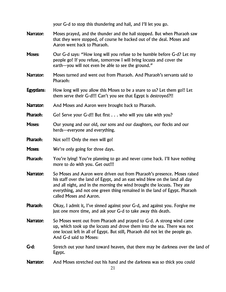|                  | your G-d to stop this thundering and hail, and I'll let you go.                                                                                                                                                                                                                                                                              |
|------------------|----------------------------------------------------------------------------------------------------------------------------------------------------------------------------------------------------------------------------------------------------------------------------------------------------------------------------------------------|
| Narrator:        | Moses prayed, and the thunder and the hail stopped. But when Pharaoh saw<br>that they were stopped, of course he backed out of the deal. Moses and<br>Aaron went back to Pharaoh.                                                                                                                                                            |
| Moses:           | Our G-d says: "How long will you refuse to be humble before G-d? Let my<br>people go! If you refuse, tomorrow I will bring locusts and cover the<br>earth-you will not even be able to see the ground."                                                                                                                                      |
| Narrator:        | Moses turned and went out from Pharaoh. And Pharaoh's servants said to<br>Pharaoh:                                                                                                                                                                                                                                                           |
| Egyptians:       | How long will you allow this Moses to be a snare to us? Let them go!! Let<br>them serve their G-d!!! Can't you see that Egypt is destroyed?!!                                                                                                                                                                                                |
| <b>Narrator:</b> | And Moses and Aaron were brought back to Pharaoh.                                                                                                                                                                                                                                                                                            |
| Pharaoh:         | Go! Serve your G-d!! But first who will you take with you?                                                                                                                                                                                                                                                                                   |
| Moses:           | Our young and our old, our sons and our daughters, our flocks and our<br>herds—everyone and everything.                                                                                                                                                                                                                                      |
| Pharaoh:         | Not so!!! Only the men will go!                                                                                                                                                                                                                                                                                                              |
| Moses:           | We're only going for three days.                                                                                                                                                                                                                                                                                                             |
| Pharaoh:         | You're lying! You're planning to go and never come back. I'll have nothing<br>more to do with you. Get out!!!                                                                                                                                                                                                                                |
| Narrator:        | So Moses and Aaron were driven out from Pharaoh's presence. Moses raised<br>his staff over the land of Egypt, and an east wind blew on the land all day<br>and all night, and in the morning the wind brought the locusts. They ate<br>everything, and not one green thing remained in the land of Egypt. Pharaoh<br>called Moses and Aaron. |
| Pharaoh:         | Okay, I admit it, I've sinned against your G-d, and against you. Forgive me<br>just one more time, and ask your G-d to take away this death.                                                                                                                                                                                                 |
| Narrator:        | So Moses went out from Pharaoh and prayed to G-d. A strong wind came<br>up, which took up the locusts and drove them into the sea. There was not<br>one locust left in all of Egypt. But still, Pharaoh did not let the people go.<br>And G-d said to Moses:                                                                                 |
| G-d:             | Stretch out your hand toward heaven, that there may be darkness over the land of<br>Egypt.                                                                                                                                                                                                                                                   |
| Narrator:        | And Moses stretched out his hand and the darkness was so thick you could<br>21                                                                                                                                                                                                                                                               |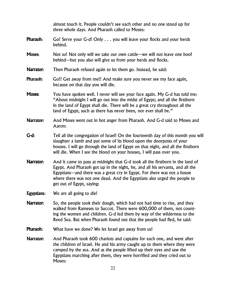|                  | almost touch it. People couldn't see each other and no one stood up for<br>three whole days. And Pharaoh called to Moses:                                                                                                                                                                                                                           |
|------------------|-----------------------------------------------------------------------------------------------------------------------------------------------------------------------------------------------------------------------------------------------------------------------------------------------------------------------------------------------------|
| Pharaoh:         | Go! Serve your G-d! Only you will leave your flocks and your herds<br>behind.                                                                                                                                                                                                                                                                       |
| <b>Moses:</b>    | Not so! Not only will we take our own cattle—we will not leave one hoof<br>behind—but you also will give us from your herds and flocks.                                                                                                                                                                                                             |
| <b>Narrator:</b> | Then Pharaoh refused again to let them go. Instead, he said:                                                                                                                                                                                                                                                                                        |
| Pharaoh:         | Go!! Get away from me!! And make sure you never see my face again,<br>because on that day you will die.                                                                                                                                                                                                                                             |
| Moses:           | You have spoken well. I never will see your face again. My G-d has told me:<br>"About midnight I will go out into the midst of Egypt; and all the firstborn<br>in the land of Egypt shall die. There will be a great cry throughout all the<br>land of Egypt, such as there has never been, nor ever shall be."                                     |
| Narrator:        | And Moses went out in hot anger from Pharaoh. And G-d said to Moses and<br>Aaron:                                                                                                                                                                                                                                                                   |
| G-d:             | Tell all the congregation of Israel! On the fourteenth day of this month you will<br>slaughter a lamb and put some of its blood upon the doorposts of your<br>houses. I will go through the land of Egypt on that night, and all the firstborn<br>will die. When I see the blood on your houses, I will pass over you.                              |
| Narrator:        | And it came to pass at midnight that G-d took all the firstborn in the land of<br>Egypt. And Pharaoh got up in the night, he, and all his servants, and all the<br>Egyptians—and there was a great cry in Egypt. For there was not a house<br>where there was not one dead. And the Egyptians also urged the people to<br>get out of Egypt, saying: |
| Egyptians:       | We are all going to die!                                                                                                                                                                                                                                                                                                                            |
| <b>Narrator:</b> | So, the people took their dough, which had not had time to rise, and they<br>walked from Rameses to Succot. There were 600,000 of them, not count-<br>ing the women and children. G-d led them by way of the wilderness to the<br>Reed Sea. But when Pharaoh found out that the people had fled, he said:                                           |
| Pharaoh:         | What have we done? We let Israel get away from us!                                                                                                                                                                                                                                                                                                  |
| <b>Narrator:</b> | And Pharaoh took 600 chariots and captains for each one, and went after<br>the children of Israel. He and his army caught up to them where they were<br>camped by the sea. And as the people lifted up their eyes and saw the<br>Egyptians marching after them, they were horrified and they cried out to<br>Moses:                                 |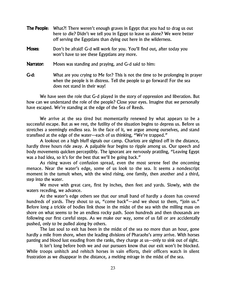| <b>The People:</b> | What?! There weren't enough graves in Egypt that you had to drag us out<br>here to die? Didn't we tell you in Egypt to leave us alone? We were better<br>off serving the Egyptians than dying out here in the wilderness. |
|--------------------|---------------------------------------------------------------------------------------------------------------------------------------------------------------------------------------------------------------------------|
| <b>Moses:</b>      | Don't be afraid! G-d will work for you. You'll find out, after today you<br>won't have to see these Egyptians any more.                                                                                                   |
| Narrator:          | Moses was standing and praying, and G-d said to him:                                                                                                                                                                      |
| $G-d:$             | What are you crying to Me for? This is not the time to be prolonging in prayer<br>when the people is in distress. Tell the people to go forward! For the sea<br>does not stand in their way!                              |

We have seen the role that G-d played in the story of oppression and liberation. But how can we understand the role of the people? Close your eyes. Imagine that we personally have escaped. We're standing at the edge of the Sea of Reeds.

We arrive at the sea tired but momentarily renewed by what appears to be a successful escape. But as we rest, the futility of the situation begins to depress us. Before us stretches a seemingly endless sea. In the face of it, we argue among ourselves, and stand transfixed at the edge of the water—each of us thinking, "We're trapped."

A lookout on a high bluff signals our camp. Chariots are sighted off in the distance, hardly three hours ride away. A palpable fear begins to ripple among us. Our speech and body movements quicken perceptibly. The ignorant are nervously prattling, "Leaving Egypt was a bad idea, so it's for the best that we'll be going back."

As rising waves of confusion spread, even the most serene feel the oncoming menace. Near the water's edge, some of us look to the sea. It seems a nondescript moment in the tumult when, with the wind rising, one family, then another and a third, step into the water.

We move with great care, first by inches, then feet and yards. Slowly, with the waters receding, we advance.

At the water's edge others see that our small band of hardly a dozen has covered hundreds of yards. They shout to us, "come back"—and we shout to them, "join us." Before long a trickle of bodies link those in the midst of the sea with the milling mass on shore on what seems to be an endless rocky path. Soon hundreds and then thousands are following our first careful steps. As we make our way, some of us fall or are accidentally pushed, only to be pulled along by others.

The last soul to exit has been in the midst of the sea no more than an hour, gone hardly a mile from shore, when the leading divisions of Pharaohs's army arrive. With horses panting and blood lust exuding from the ranks, they charge at us—only to sink out of sight.

It isn't long before both we and our pursuers know that our exit won't be blocked. While troops unhitch and rehitch horses in vain efforts, their officers watch in silent frustration as we disappear in the distance, a melting mirage in the midst of the sea.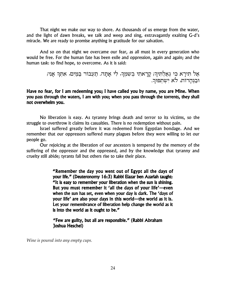That night we make our way to shore. As thousands of us emerge from the water, and the light of dawn breaks, we talk and weep and sing, extravagantly exalting G-d's miracle. We are ready to promise anything in gratitude for our salvation.

And so on that night we overcame our fear, as all must in every generation who would be free. For the human fate has been exile and oppression, again and again; and the human task: to find hope, to overcome. As it is said:

> אַל תִּירָא כִּי גְאַלְתִּיךָ; קָרָאתִי בְשִמְךָ, לִי אָתָה. תַעִבוֹר בַּמַּיִם, אִתְךָ אַנִי; ובנהרות, לא ישתפור.

Have no fear, for I am redeeming you; I have called you by name, you are Mine. When you pass through the waters, I am with you; when you pass through the torrents, they shall not overwhelm you.

No liberation is easy. As tyranny brings death and terror to its victims, so the struggle to overthrow it claims its casualties. There is no redemption without pain.

Israel suffered greatly before it was redeemed from Egyptian bondage. And we remember that our oppressors suffered many plagues before they were willing to let our people go.

Our rejoicing at the liberation of our ancestors is tempered by the memory of the suffering of the oppressor and the oppressed, and by the knowledge that tyranny and cruelty still abide; tyrants fall but others rise to take their place.

> "Remember the day you went out of Egypt all the days of your life." (Deuteronomy 16:3) Rabbi Elazar ben Azariah taught: "It is easy to remember your liberation when the sun is shining. But you must remember it 'all the days of your life'—even when the sun has set, even when your day is dark. The 'days of your life' are also your days in this world—the world as it is. Let your remembrance of liberation help change the world as it is into the world as it ought to be."

"Few are guilty, but all are responsible." (Rabbi Abraham Joshua Heschel)

Wine is poured into any empty cups.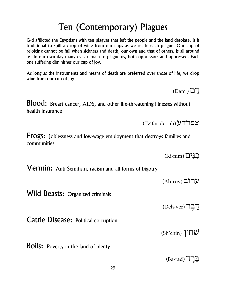# Ten (Contemporary) Plagues

G-d afflicted the Egyptians with ten plagues that left the people and the land desolate. It is traditional to spill a drop of wine from our cups as we recite each plague. Our cup of rejoicing cannot be full when sickness and death, our own and that of others, is all around us. In our own day many evils remain to plague us, both oppressors and oppressed. Each one suffering diminishes our cup of joy.

As long as the instruments and means of death are preferred over those of life, we drop wine from our cup of joy.

**Blood:** Breast cancer, AIDS, and other life-threatening illnesses without health insurance

**Frogs:** Joblessness and low-wage employment that destroys families and communities

Vermin: Anti-Semitism, racism and all forms of bigotry

עֲרוֹב (Ah-rov)

 $(Ki\text{-nim})$  כנים

Wild Beasts: Organized criminals

רֶבֶר (Deh-ver)

**Cattle Disease: Political corruption** 

(Sh'chin) שחין

**Boils:** Poverty in the land of plenty

 $(Dam)$ <sup>I]</sup>

(Tz'far-dei-ah) עָפַרְדֻע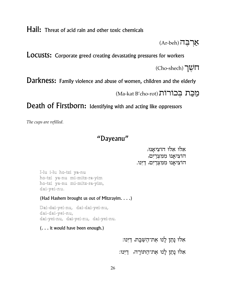Hail: Threat of acid rain and other toxic chemicals

Ar-beh) אֲרְבֵה

**LOCUStS:** Corporate greed creating devastating pressures for workers

(Cho-shech) חשֲך

Darkness: Family violence and abuse of women, children and the elderly

מַכַּת בִכוֹרוֹת (Ma-kat B'cho-rot)

Death of Firstborn: Identifying with and acting like oppressors

The cups are refilled.

## "Dayeanu"

אָלוּ אַלוּ הוֹצִיאָנוּ, הוֹצִיאַנוּ מִמְצְרַיִם, הוֹצִיאֲנוּ מִמְצְרַיִם, דַיֵּנוּ.

I-lu i-lu ho-tzi ya-nu ho-tzi ya-nu mi-mitz-ra-yim ho-tzi ya-nu mi-mitz-ra-yim, dai-yei-nu.

(Had Hashem brought us out of Mitzrayim. . . .)

Dai-dai-yei-nu, dai-dai-yei-nu, dai-dai-yei-nu, dai-yei-nu, dai-yei-nu, dai-yei-nu.

 $( \ldots )$  it would have been enough.)

אלוּ נָתַן לָנוּ אֵת־הַשַּׁבָּת, דַיִּנוּ:

אלוּ נָתַן לָנוּ אֶת־הַתּוֹרָה, דַיֵּנוּ: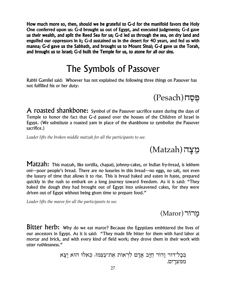How much more so, then, should we be grateful to G-d for the manifold favors the Holy One conferred upon us: G-d brought us out of Egypt, and executed judgments; G-d gave us their wealth, and split the Reed Sea for us; G-d led us through the sea, on dry land and engulfed our oppressors in it; G-d sustained us in the desert for 40 years, and fed us with manna; G-d gave us the Sabbath, and brought us to Mount Sinai; G-d gave us the Torah, and brought us to Israel; G-d built the Temple for us, to atone for all our sins.

# The Symbols of Passover

Rabbi Gamliel said: Whoever has not explained the following three things on Passover has not fulfilled his or her duty:

(Pesach) הֵּםַח

A roasted shankbone: Symbol of the Passover sacrifice eaten during the days of Temple to honor the fact that G-d passed over the houses of the Children of Israel in Egypt. (We substitute a roasted yam in place of the shankbone to symbolize the Passover sacrifice.)

*Leader lifts the broken middle matzah for all the participants to see.*

(Matzah) מַצָּה

Matzah: This matzah, like tortilla, chapati, johnny-cakes, or Indian fry-bread, is lekhem oni—poor people's bread. There are no luxuries in this bread—no eggs, no salt, not even the luxury of time that allows it to rise. This is bread baked and eaten in haste, prepared quickly in the rush to embark on a long journey toward freedom. As it is said: "They baked the dough they had brought out of Egypt into unleavened cakes, for they were driven out of Egypt without being given time to prepare food."

*Leader lifts the maror for all the participants to see.*

מֵרוֹר (Maror)

Bitter herb: Why do we eat maror? Because the Egyptians embittered the lives of our ancestors in Egypt. As it is said: "They made life bitter for them with hard labor at mortar and brick, and with every kind of field work; they drove them in their work with utter ruthlessness."

> בְּכָל־דוֹר וָדוֹר חַיָּב אָדָם לִרְאוֹת אֶת־עַצְמוֹ, כִּא<sup>ָלוּ</sup> הוּא יַצָא ממצרים.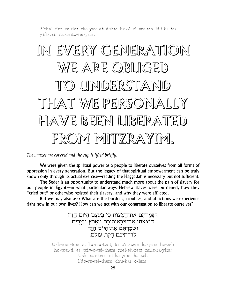B'chol dor va-dor cha-yav ah-dahm lir-ot et atz-mo ki-i-lu hu yah-tza mi-mitz-rai-yim.

# IN EVERY GENERATION WE ARE OBLIGED TO UNDERSTAND THAT WE PERSONALLY HAVE BEEN LIBERATED FROM MITZRAYIM.

The matzot are covered and the cup is lifted briefly.

We were given the spiritual power as a people to liberate ourselves from all forms of oppression in every generation. But the legacy of that spiritual empowerment can be truly known only through its actual exercise—reading the Haggadah is necessary but not sufficient.

The Seder is an opportunity to understand much more about the pain of slavery for our people in Egypt—in what particular ways Hebrew slaves were burdened, how they "cried out" or otherwise resisted their slavery, and why they were afflicted.

But we may also ask: What are the burdens, troubles, and afflictions we experience right now in our own lives? How can we act with our congregation to liberate ourselves?

> ושמרתם את המצות כי בעצם היום הזה הוֹצָאתִי אַת־צְבָאוֹתֵיכֶם מֵאֲרֶץ מִצְרַיִם וּשְמַרְתֵּם אֲת־הַיּוֹם הַזֶּה לדרתיכם חקת עולם:

Ush-mar-tem et ha-ma-tzot; ki b'et-zem ha-yom ha-zeh ho-tzei-ti et tziv-o-tei-chem mei-eh-retz mitz-ra-yim; Ush-mar-tem et-ha-yom ha-zeh l'do-ro-tei-chem chu-kat o-lam.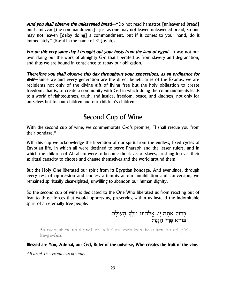And you shall observe the unleavened bread—"Do not read hamatzot [unleavened bread] but hamitzvot [the commandments]—just as one may not leaven unleavened bread, so one may not leaven [delay doing] a commandment, but if it comes to your hand, do it immediately" (Rashi in the name of R' Josiah).

**For on this very same day I brought out your hosts from the land of Egypt**—It was not our own doing but the work of almighty G-d that liberated us from slavery and degradation, and thus we are bound in conscience to repay our obligation.

Therefore you shall observe this day throughout your generations, as an ordinance for ever–Since we and every generation are the direct beneficiaries of the Exodus, we are recipients not only of the divine gift of living free but the holy obligation to create freedom, that is, to create a community with G-d in which doing the commandments leads to a world of righteousness, truth, and justice, freedom, peace, and kindness, not only for ourselves but for our children and our children's children.

## Second Cup of Wine

With the second cup of wine, we commemorate G-d's promise, "I shall rescue you from their bondage."

Wth this cup we acknowledge the liberation of our spirit from the endless, fixed cycles of Egyptian life, in which all were destined to serve Pharaoh and the lesser rulers, and in which the children of Abraham were to become the slaves of slaves, crushing forever their spiritual capacity to choose and change themselves and the world around them.

But the Holy One liberated our spirit from its Egyptian bondage. And ever since, through every test of oppression and endless attempts at our annihilation and conversion, we remained spiritually clear-sighted, unwilling to abandon our human dignity.

So the second cup of wine is dedicated to the One Who liberated us from reacting out of fear to those forces that would oppress us, preserving within us instead the indomitable spirit of an eternally free people.

בָרוּךְ אַתָּה יְיָ, אֱלֹדֵזִינוּ מֶלֶךְ הָעוֹלָם,<br>בּוֹרֵא פְּרִי הַגָּבֶן:

Ba-ruch ah-ta ah-do-nai eh-lo-hei-nu meh-lech ha-o-lam bo-rei p'ri ha-ga-fen.

Blessed are You, Adonai, our G-d, Ruler of the universe, Who creates the fruit of the vine.

All drink the second cup of wine.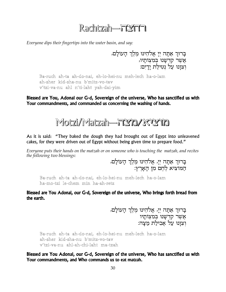# Rachtzah-FIMFI

Everyone dips their fingertips into the water basin, and say:

בַרוּךְ אַתַּה יִי אֵלֹהֵינוּ מֵלֵךְ הַעוֹלַם, אֲשֶׁר קִדְשָׁנוּ בְמִצְוֹתָיוּ,<br>וְצְוַנוּ עַל נְטִילַת יַדַיִם:

Ba-ruch ah-ta ah-do-nai, eh-lo-hei-nu meh-lech ha-o-lam ah-sher kid-sha-nu b'mitz-vo-tav v'tzi-va-nu ahl n'ti-laht vah-dai-vim

Blessed are You, Adonai our G-d, Sovereign of the universe, Who has sanctified us with Your commandments, and commanded us concerning the washing of hands.



As it is said: "They baked the dough they had brought out of Egypt into unleavened cakes, for they were driven out of Egypt without being given time to prepare food."

Everyone puts their hands on the matzah or on someone who is touching the matzah, and recites the following two blessings:

בְרוּךְ אַתָּה יְיָ, אֱלֹהֵינוּ מֶלֶךְ הָעוֹלָם, המוציא לחם מן הארץ:

Ba-ruch ah-ta ah-do-nai, eh-lo-hei-nu meh-lech ha-o-lam ha-mo-tzi le-chem min ha-ah-retz

Blessed are You Adonai, our G-d, Sovereign of the universe, Who brings forth bread from the earth.

> בָרוּךְ אַתָּה יְיָ, אֱלֹהֵינוּ מֶלֶךְ הָעוֹלָם, אֲשֶׁר קִדְּשָׁנוּ בְמִצְוֹתָיו<br>וְצְוַנוּ עַל אָבִילַת מַצָּה:

Ba-ruch ah-ta ah-do-nai, eh-lo-hei-nu meh-lech ha-o-lam ah-sher kid-sha-nu b'mitz-vo-tav v'tzi-va-nu ahl-ah-chi-laht ma-tzah

Blessed are You Adonai, our G-d, Sovereign of the universe, Who has sanctified us with Your commandments, and Who commands us to eat matzah.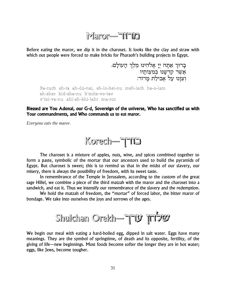# Maror-TiTia

Before eating the maror, we dip it in the charoset. It looks like the clay and straw with which out people were forced to make bricks for Pharaoh's building projects in Egypt.

> בָרוּךְ אַתָּה יְיָ אֱלֹהֵינוּ מֶלֶךְ הָעוֹלָם, אֲשֶר קִדְשָנוּ בְּמִצְוֹתָיו<br>וְצִוָּנוּ עַל אֲכִילַת מָרוֹר:

Ba-ruch ah-ta ah-do-nai, eh-lo-hei-nu meh-lech ha-o-lam ah-sher kid-sha-nu b'mitz-vo-tav v′tzi-va-nu ahl-ah-khi-laht ma-ror

Blessed are You Adonai, our G-d, Sovereign of the universe, Who has sanctified us with Your commandments, and Who commands us to eat maror.

Everyone eats the maror.



The charoset is a mixture of apples, nuts, wine, and spices combined together to form a paste, symbolic of the mortar that our ancestors used to build the pyramids of Egypt. But charoset is sweet; this is to remind us that in the midst of our slavery, our misery, there is always the possibility of freedom, with its sweet taste.

In remembrance of the Temple in Jerusalem, according to the custom of the great sage Hillel, we combine a piece of the third matzah with the maror and the charoset into a sandwich, and eat it. Thus we intensify our remembrance of the slavery and the redemption.

We hold the matzah of freedom, the "mortar" of forced labor, the bitter maror of bondage. We take into ourselves the joys and sorrows of the ages.



We begin our meal with eating a hard-boiled egg, dipped in salt water. Eggs have many meanings. They are the symbol of springtime, of death and its opposite, fertility, of the giving of life—new beginnings. Most foods become softer the longer they are in hot water; eggs, like Jews, become tougher.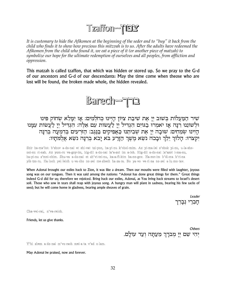# **Tzaffon—TEY**

It is customary to hide the Afikomen at the beginning of the seder and to "buy" it back from the child who finds it to show how precious this mitzvah is to us. After the adults have redeemed the Afikomen from the child who found it, we eat a piece of it (or another piece of matzah) to symbolize our hope for the ultimate redemption of ourselves and all peoples, from affliction and oppression.

This matzah is called tzaffon, that which was hidden or stored up. So we pray to the G-d of our ancestors and G-d of our descendants: May the time come when theose who are lost will be found, the broken made whole, the hidden revealed.



שִׁיר הַמַּעֲלוֹת בְּשׁוּב יְיָ אֶת שִׁיבַת צִיּוֹן הָיִינוּ כְּחֹלְמִים: אָז יִמָּלֵא שְׂחוֹק פִּינוּ וּלְשׁוֹנֵנוּ רִנָּה אָז יאמְרוּ בַגוּיִם הגְדִיל יְיָ לַעֲשׂוֹת עם אֵלֶה: הִגְדִיל יְיָ לַעֲשׂוֹת עִמָּנוּ הָיִינוּ שְׂמֵחִים: שׁוּבָה יְיָ אֶת שְׁבִיתֵנוּ כַּאֲפִיקִים בַּנֶּגֶב: הַזִּרְעִים בְּדִמְעָה בְּרִנָּה יִקְצֹרוּ: הַלוֹּךְ יֶלֶךְ וּבָכֹה נִשָׂא מֵשֶׁךְ הַזַּרַע בֹּא יַבֹא בְרְנַּה נִשָׂא אֱלְמֹתַיוּ:

Shir ha-ma'lot: b'shuv a-do-nai et shi-vat tzi-yon, ha-yi-nu k'chol-mim. Az yi-ma-lei s'chok pi-nu, u-la-shonei-nu ri-nah. Az yom-ru va-goy-im, hig-dil a-do-nai la'a-sot im a-leh. Hig-dil a-do-nai la'asot i-ma-nu, ha-yi-nu s'mei-chim. Shu-va a-do-nai et sh'vi-tei-nu, ka-a-fi-kim ba-ne-gev. Ha-zor-im b'di-ma b'ri-na yik-tzo-ru. Ha-loch yei-leich u-va-cho no-sei me-shech ha-za-ra. Bo ya-vo ve-ri-na no-sei a-lu-mo-tav.

When Adonai brought our exiles back to Zion, it was like a dream. Then our mouths were filled with laughter, joyous song was on our tongues. Then it was said among the nations: "Adonai has done great things for them." Great things indeed G-d did for us; therefore we rejoiced. Bring back our exiles, Adonai, as You bring back streams to Israel's desert soil. Those who sow in tears shall reap with joyous song. A hungry man will plant in sadness, bearing his few sacks of seed; but he will come home in gladness, bearing ample sheaves of grain.

> Leader חַבֶּרַי נִבֲרֵך

Cha-vei-rai, n'va-reich.

Friends, let us give thanks.

Others יִהִי שֵם יִיַ מִברַךְ מֵעֲתָה וְעַד עוֹלָם.

Y'hi shem a-do-nai m'vo-rach mei-a-ta v'ad o-lam.

May Adonai be praised, now and forever.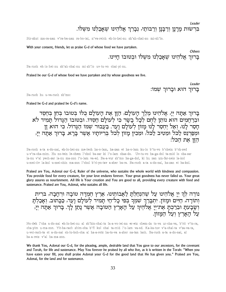Leader

Others

בִּרְשׂוּת מָרָנָן וְרַבְּנָן וְרַבּוֹתַי, נִבָרֶךְ אֱלֹהֵינוּ שֵׁאָבַלְנוּ מִשָּׁלֹוֹ.

#### Bir-shut ma-ra-nan v'ra-ba-nan ra-bo-tai, n'va-reich eh-lo-hei-nu sh'ah-chal-nu mi-sh'lo.

With your consent, friends, let us praise G-d of whose food we have partaken.

ברוך אלהינו שאכלנו משלו ובטובו חיינו.

#### Ba-ruch eh-lo-hei-nu sh'ah-chal-nu mi-sh'lo uv-tu-vo chai-yi-nu.

Praised be our G-d of whose food we have partaken and by whose goodness we live.

Leader ברוך הוא וברוך שמו:

#### Ba-ruch hu u-va-ruch sh'mo:

Praised be G-d and praised be G-d's name.

בָרוּךְ אַתָּה יְיָ, אֱלֹהֵינוּ מֶלֶךְ הָעוֹלָם, הַזָּן אֶת הָעוֹלָם כִּלוֹ בְּטוּבוֹ בְּחֵן בְּחֶסֶד<br>וּבִרַחֲמִים הוּא נוֹתֵן לֵחֵם לִבָל בָשָׂר כִּי לִעוֹלָם חַסִדּוֹ. וּבִטוּבוֹ הַגָּדוֹל תָּמִיד לֹא הָסַר לָנוּ, וְאַל יְחִסַר לָנוּ מָזוֹן לְעוֹלָם וָעֵד. בַעֲבוּר שִמוּ הַגָּדוֹל, כִּי הוּא זָן וּתַפַרְנֵס לַכֹּל וּמִטִיב לַכּל, וּמִכִין מָזוֹן לִכל בִרִיוֹתָיו אֲשֶׁר בָּרָא. בָרוּךְ אַתָה יְיָ, הזן את הכל:

#### Ba-ruch a-ta a-do-nai, eh-lo-hei-nu me-lech ha-o-lam, ha-zan et ha-o-lam ku-lo b'tu-vo b'chein b'ch-sed u-v'ra-cha-mim. Hu no-tein le-chem l'chol ba-sar ki l'o-lam chas-do. Uv-tu-vo ha-ga-dol ta-mid lo cha-sar la-nu v'al yech-sar la-nu ma-zon l'o-lam va-ed. Ba-a-vur sh'mo ha-ga-dol, ki hu zan um-far-neis la-kol u-mei-tiv la-kol u-mei-chin ma-zon l'chol b'ri-yo-tav a-sher ba-ra. Ba-ruch a-ta a-do-nai, ha-zan et ha-kol.

Praised are You, Adonai our G-d, Ruler of the universe, who sustains the whole world with kindness and compassion. You provide food for every creature, for your love endures forever. Your great goodness has never failed us. Your great glory assures us nourisnment. All life is Your creation and You are good to all, providing every creature with food and sustenance. Praised are You, Adonai, who sustains all life.

נודה לִרְ יִיַ אֲלֹהֵינוּ עַל שֵׁהִנְחַלְתָּ לַאֲבוֹתֵינוּ, אֶרֶץ הֶמְדָּה טוֹבָה וּרְחָבָה, בּרִית וְתוֹרָה, חַיִּים וּמָזוֹן. יִתְבָּרַךְ שִׁמְךָ בִפִי כָל־חַי תָמִיד לְעוֹלַם וַעֵד, כַּבַתוּב. וְאַכַלִתַּ ושבעת וברכת את יי אלהיך על הארץ הטובה אשר נתן לך. ברוך אתה יי, על הארץ ועל המזוֹן.

No-deh l'cha a-do-nai eh-lo-hei-nu al sh'hin-chal-ta la-a-vo-tei-nu er-etz chem-da to-va ur-cha-va, b'rit v'to-ra, cha-yim u-ma-zon. Yit-ba-rach shim-cha b'fi kol chai ta-mid l'o-lam va-ed. Ka-ka-tuv v'a-chal-ta v'sa-va-ta, u-vei-rach-ta et a-do-nai eh-lo-heh-cha al ha-a-retz ha-to-va a-sher na-tan lach. Ba-ruch a-ta a-do-nai, al ha-a-retz v'al ha-ma-zon.

We thank You, Adonai our G-d, for the pleasing, ample, desirable land that You gave to our ancestors, for the covenant and Torah, for life and sustenance. May You forever be praised by all who live, as it is written in the Torah: "When you have eaten your fill, you shall praise Adonai your G-d for the good land that He has given you." Praised are You, Adonai, for the land and for sustenance.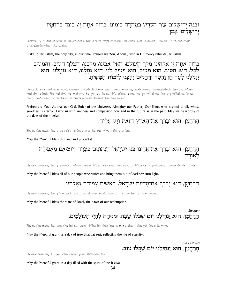## וּבִנֵה יִרוּשַׁלַיִם עִיר הַקְדֶשׁ בִּמְהֵרָה בְיָמֵינוּ. בָּרוּךְ אַתָּה יְיָ, בּוֹנֵה בְּרַחֲמָיו ירושלים. אמן

#### U-v'nei y'ru-sha-la-yim ir ha-ko-desh bim-hei-ra v'ya-mei-nu. Ba-ruch a-ta a-do-nai, bo-nei b'ra-cha-mav y'ru-sha-la-yim. Ah-mein.

Build up Jerusalem, the holy city, in our time. Praised are You, Adonai, who in His mercy rebuilds Jerusalem.

## בָרוּךְ אַתָּה יְיָ אֱלֹהֵינוּ מֶלֶךְ הָעוֹלָם, הָאֵל אָבִינוּ, מַלִּבֵּנוּ, הַמֵּלֵךְ הַטּוֹב, וִהַמֵּטִיב לַכל. הוא הַטְיב, הוא מֵטִיב, הוא יַיטִיב לָנוּ. הוא גִמַלְנוּ, הוא גומלֵנוּ, הוא .<br>יגמלנו לעד חן וחסד ורחמים ויזכנו לימות המשיח.

Ba-ruch a-ta a-do-nai eh-lo-hei-nu meh-lech ha-o-lam, ha-eil a-vi-nu, mal-kei-nu, ha-meh-lech ha-tov, v'hamei-tiv la-kol. Hu hei-tiv, hu mei-tiv, hu yei-tiv la-nu. Hu g'ma-la-nu, hu go-m'lei-nu, hu yig-m'lei-nu la-ad chein va'ch-sed v'ra-cha-mim vi-za-kei-nu li-mot ha-ma-shi-ach.

Praised are You, Adonai our G-d, Ruler of the Universe, Almighty our Father, Our King, who is good to all, whose goodness is eternal. Favor us with kindness and compassion now and in the future as in the past. May we be worthy of the days of the messiah.

הרחמן, הוא יִבְרֵךְ אַת־הַאַרֶץ הַזֹאת וַיַּגֶן עַלֵיהַ.

#### Ha-ra-cha-man, hu y'va-reich et-ha-a-retz ha-zot v'ya-gein a-le-ha.

May the Merciful bless this land and protect it.

הָרַחֲמָן, הוּא יְבָרֵךְ אֶת־אַחֵינוּ בִּנֵי יִשְׂרָאֵל הַנְתוּנִים בִּצַרַה וִיוֹצִיאַם מֵאַפִילַה לאורה.

#### Ha-ra-cha-man, hu y'va-reich et-a-chei-nu b'nei yis-ra-eil han-tu-nim b'tza-ra v'yo-tzi-eim mei-a-fei-la l'o-ra.

May the Merciful bless all of our people who suffer and bring them out of darkness into light.

הָרַחֲמָן, הוּא יִבָרֶךְ אַת־מִדִינַת יִשְׂרָאֵל, רֵאשִׁית צִמִיחַת גָאַלַתֵנוּ.

#### Ha-ra-cha-man, hu y'va-reich et-m'di-nat yis-ra-eil, rei-shit tz'mi-chat g'u-la-tei-nu.

May the Merciful bless the state of Israel, the dawn of our redemption.

Shabbat הַרַחֲמַן, הוּא יַנְחִילֵנוּ יוֹם שֶׁבְּלוֹ שַׁבַּת וּמִנוּחַה לְחַיֵּי הַעוֹלַמִים.

#### Ha-ra-cha-man, hu yan-che-lei-nu yom sh'ku-lo shab-bat u-m'nu-cha l'cha-yei ha-o-la-mim.

May the Merciful grant us a day of true Shabbat rest, reflecting the life of eternity.

On Festivals הרחמז, הוא ינחילנו יום שכלו טוב.

#### Ha-ra-cha-man, hu yan-chi-lei-nu yom sh'ku-lo tov.

May the Merciful grant us a day filled with the spirit of the festival.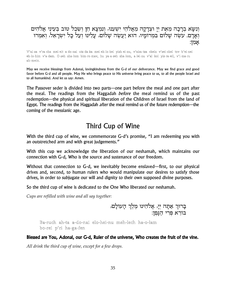וְנִשָּא בְרָכָה מֵאֵת יְיָ וּצְדָקָה מֵאֱלֹהֵי יִשְׁעֵנוּ, וְנִמְצָא חֵן וְשֵׂכֶל טוֹב בְּעֵינֵי אֱלֹהִים וְאָדָם. עשֶה שָלום במרומָיו, הוא יַעֲשֶה שָלום, עַלִינוּ וַעַל כָל יִשְרָאֵל, וֹאָמִרוּ אַמָן:

V'ni-sa v'ra-cha mei-eit a-do-nai utz-da-ka mei-eh-lo-hei yish-ei-nu, v'nim-tza chein v'sei-chel tov b'ei-nei eh-lo-him v'a-dam. O-seh sha-lom bim-ro-mav, hu ya-a-seh sha-lom, a-lei-nu v'al kol yis-ra-eil, v'i-ma-ru ah-mein.

May we receive blessings from Adonai, lovingkindness from the G-d of our deliverance. May we find grace and good favor before G-d and all people. May He who brings peace to His universe bring peace to us, to all the people Israel and to all humankind. And let us say: Amen.

The Passover seder is divided into two parts—one part before the meal and one part after the meal. The readings from the Haggadah before the meal remind us of the past redemption—the physical and spiritual liberation of the Children of Israel from the land of Egypt. The readings from the Haggadah *after* the meal remind us of the future redemption—the coming of the messianic age.

## Third Cup of Wine

With the third cup of wine, we commemorate G-d's promise, "I am redeeming you with an outstretched arm and with great judgements."

With this cup we acknowledge the liberation of our neshamah, which maintains our connection with G-d. Who is the source and sustenance of our freedom.

Without that connection to G-d, we inevitably become enslaved—first, to our physical drives and, second, to human rulers who would manipulate our desires to satisfy those drives, in order to subjugate our will and dignity to their own supposed divine purposes.

So the third cup of wine is dedicated to the One Who liberated our neshamah.

Cups are refilled with wine and all say together:

בָרוּךְ אַתָּה יְיָ, אֱלֹהֵינוּ מֶלֶךְ הָעוֹלָם,<br>בּוֹרֵא פִּרִי הַגָּפֶן:

Ba-ruch ah-ta a-do-nai elo-hei-nu meh-lech ha-o-lam bo-rei p'ri ha-ga-fen

### Blessed are You, Adonai, our G-d, Ruler of the universe, Who creates the fruit of the vine.

All drink the third cup of wine, except for a few drops.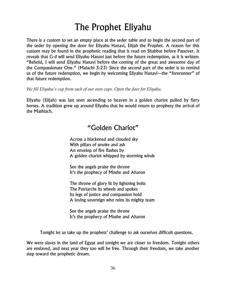# The Prophet Eliyahu

There is a custom to set an empty place at the seder table and to begin the second part of the seder by opening the door for Eliyahu Hanavi, Elijah the Prophet. A reason for this custom may be found in the prophetic reading that is read on Shabbat before Passover. It reveals that G-d will send Eliyahu Hanavi just before the future redemption, as it is written: "Behold, I will send Eliyahu Hanavi before the coming of the great and awesome day of the Compassionate One." (Malachi 3:23) Since the second part of the seder is to remind us of the future redemption, we begin by welcoming Eliyahu Hanavi—the "forerunner" of that future redemption.

*We fill Eliyahu's cup from each of our own cups. Open the door for Eliyahu.*

Eliyahu (Elijah) was last seen ascending to heaven in a golden chariot pulled by fiery horses. A tradition grew up around Eliyahu that he would return to prophesy the arrival of the Mashiach.

## "Golden Chariot"

Across a blackened and clouded sky With pillars of smoke and ash An envelop of fire flashes by A golden chariot whipped by storming winds

See the angels praise the throne It's the prophecy of Moshe and Aharon

The throne of glory lit by lightning bolts The Patriarchs its wheels and spokes Its legs of justice and compassion hold A loving sovereign who reins its mighty team

See the angels praise the throne It's the prophecy of Moshe and Aharon

Tonight let us take up the prophets' challenge to ask ourselves difficult questions.

We were slaves in the land of Egypt and tonight we are closer to freedom. Tonight others are enslaved, and next year they too will be free. Through their freedom, we take another step toward the prophetic dream.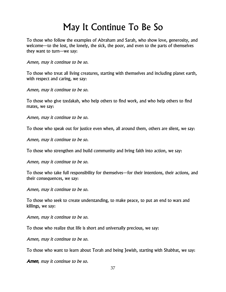# May It Continue To Be So

To those who follow the examples of Abraham and Sarah, who show love, generosity, and welcome—to the lost, the lonely, the sick, the poor, and even to the parts of themselves they want to turn—we say:

Amen, may it continue to be so.

To those who treat all living creatures, starting with themselves and including planet earth, with respect and caring, we say:

Amen, may it continue to be so.

To those who give tzedakah, who help others to find work, and who help others to find mates, we say:

Amen, may it continue to be so.

To those who speak out for justice even when, all around them, others are silent, we say:

Amen, may it continue to be so.

To those who strengthen and build community and bring faith into action, we say:

Amen, may it continue to be so.

To those who take full responsibility for themselves—for their intentions, their actions, and their consequences, we say:

Amen, may it continue to be so.

To those who seek to create understanding, to make peace, to put an end to wars and killings, we say:

Amen, may it continue to be so.

To those who realize that life is short and universally precious, we say:

Amen, may it continue to be so.

To those who want to learn about Torah and being Jewish, starting with Shabbat, we say:

Amen, may it continue to be so.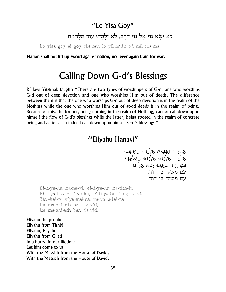## "Lo Yisa Goy"

לא ישא גוי אל גוי חרב, לא ילמדו עוד מלחמה.

Lo yisa goy el goy che-rev, lo yil-m'du od mil-cha-ma

Nation shall not lift up sword against nation, nor ever again train for war.

# **Calling Down G-d's Blessings**

R' Levi Yitzkhak taught: "There are two types of worshippers of G-d: one who worships G-d out of deep devotion and one who worships Him out of deeds. The difference between them is that the one who worships G-d out of deep devotion is in the realm of the Nothing while the one who worships Him out of good deeds is in the realm of being. Because of this, the former, being nothing in the realm of Nothing, cannot call down upon himself the flow of G-d's blessings while the latter, being rooted in the realm of concrete being and action, can indeed call down upon himself G-d's blessings."

## "Eliyahu Hanavi"

אֵלְיַהוּ הַנַּבִיא אַלְיַהוּ התּשבי אַלְיָהוּ אֵלְיָהוּ אֵלְיַהוּ הַגִּלְעַדִי. בִמְהֵרָה בְיַמֵנוּ יַבֹא אֶלֶינוּ עם מַשִׂיחַ בֵּן דַוִד. עם מַשִׁיחַ בֵּן דַוִד.

Ei-li-ya-hu ha-na-vi, ei-li-ya-hu ha-tish-bi Ei-li-ya-hu, ei-li-ya-hu, ei-li-ya-hu ha-gil-a-di. Bim-hei-ra v'va-mei-nu va-vo a-lei-nu Im ma-shi-ach ben da-vid, Im ma-shi-ach ben da-vid.

Eliyahu the prophet Eliyahu from Tishbi Eliyahu, Eliyahu Eliyahu from Gilad In a hurry, in our lifetime Let him come to us. With the Messiah from the House of David. With the Messiah from the House of David.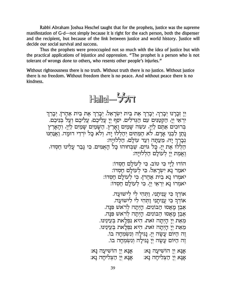Rabbi Abraham Joshua Heschel taught that for the prophets, justice was the supreme manifestation of G-d—not simply because it is right for the each person, both the dispenser and the recipient, but because of the link between justice and world history. Justice will decide our social survival and success.

Thus the prophets were preoccupied not so much with the idea of justice but with the practical applications of injustice and oppression. "The prophet is a person who is not tolerant of wrongs done to others, who resents other people's injuries."

Without righteousness there is no truth. Without truth there is no justice. Without justice there is no freedom. Without freedom there is no peace. And without peace there is no kindness.



יִיָ זְכָרָנוּ יְבָרֵךְ, יְבָרֵךְ אֶת בֵּית יִשְׂרָאֵל, יְבָרֵךְ אֶת בֵּית אַהֲרֹן. יְבָרֵךְ<br>יִרְאֵי יְיָ, הַקְטַנִּים עִם הַגְּדֹלִים. יֹסֵף יְיָ עֲלֵיכֶם, עֲלֵיכֶם וְעַל בְּנֵיכֶם. ַיִּהַ יְדָי הַשְׁמַיִם לִיִיָּ, עַשֶׂה שָׁמַיִם וָאָרֶץ. הַשָּׁמַיִם שָׁמַיִם לַיְיָ, וְהָאָרֶץ נְתַן לִבְנֵי אָדָם. לֹא הַמֵּתִים יְהַלְלוֹ יָה, ולֹא כָּל יִרְדֵי דוּמָה. וַאֲנַחִנוּ וְבְרֶךְ יָה, מֵעַתָה וְעַד עולָם, הַלְלוּיַה: דדון דון האיר האיר הארי היה מה.<br>הַלְלוּ אֶת יְיָ, כָּל גּוֹיְם, שַׁבְחוּהוּ כָּל הָאָמִים. כִּי גָּבַר עָלִינוּ חַסְדוֹ, ואמת יי לעולם הללויה:

> הודו ליי כי טוב, כי לעולם חסדו: יאמר בא ישראל, כי לעולם חסדו: יאמרו נָא בית אַהֲרֹן, כִּי לְעוֹלַם חַסְדוֹ: יאמרו נָא יִרְאֵי יִיָ, כִּי לְעוֹלָם חַסְדוֹ:

אוֹדְךָ כִּי עֲנִיתֲנִי, וַתְּהִי לִי לִישׁוּעָה. אודר כי עניתני ותהי לי לישועה. אָבֶן מַאַסוּ הַבּוֹנִים, הַיְתַה לְרֹאשׁ פִּנָּה. אָבֶן מַאַסוּ הַבּוֹנִים, הַיְתַה לְרֹאש פִּנָּה. מָאַת ײַ הַיִתַה זאת, הִיא נִפְלַאת בְּעֵינֵינוּ. מָאַת ײַ הַיִתַה זאת, הִיא נִפְלַאת בְּעֵינֵינוּ. ֶזֶה הַיּוֹם עֲשָׂה יְיָ, נָגִילָה וְנִשְׂמִחָה בו. זֶה הַיּוֹם עָשָׂה יִיָ נָגִילַה וִנְשִׂמְחַה בוֹ.

אָנָא יְיָ הוֹשִׁיעָה נָא: אָנָא יְיָ הוֹשִׁיעָה נָא:<br>אָנָא יְיָ הַצְלִיחָה נָא: אָנָא יְיָ הַצְלִיחָה נָא: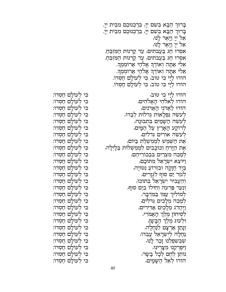בָרוּךְ הַבָּא בְּשֵׁם יְיָ, בֵּרַכְנוּכֶם מִבֵּית יְיָ. בָרוּךְ הַבָּא בִשָׁם יִיָ, בֵרַכְנוּכֶם מִבֵּית יִיָ. אַל יְיָ וַיְּאָר לָנוּ, אַל יְיָ וַיָּאָר לָנוּ, אסרו חַג בַּעֲבתִים, עַד קַרְנוֹת הַמִּזְבֵהַ. אסרו חַג בַּעֲבֹתִים, עַד קַרְנוֹת הַמִּזְבֵהַ. אֵלִי אַתַה וְאוֹדֵךְ אֱלֹהַי אֵרוֹמִמֶךְ. אַלִי אַתָה וְאוֹדֶךְ אֱלֹהַי אֲרוֹמְמֶךְ. הודוּ לַיָי כִּי טוֹב, כִּי לְעוֹלָם חַסְדוֹ. הודו לַיַי כִּי טוֹב, כִּי לְעוֹלָם חַסְדוֹ. הוֹדוּ לַיַי כִּי טוֹב, הודו לאלהי האלהים, הוֹדוּ לַאֲדֹנֵי הָאֲדֹנִים, לְעִשֵׂה נִפְלָאוֹת גְדלוֹת לְבַדוֹ, לְעֹשֶׂה הַשָּׁמַיִם בִּתְבוּנָה, לרוקע הָאָרֶץ עַל הַמָּיִם, לְעַשֶׂה אוֹרִים גְדלִים, אָת הַשֶּׁמֶשׁ לְמֶמְשֶׁלֶת בַּיּוֹם, אֶת הַיָּרֵחַ וְכוֹכָבִים לְמֶמְשְׁלוֹת בַּלָיְלָה, לִמַּבֵה מִצְרַיִם בִּבְכוֹרֵיהֵם, וַיוֹצֵא יִשְׂרָאֵל מִתוֹכָם, בִּיָּד חֲזָקָה וּבִזְרוֹעַ נְטוּיְה, לְגֹזֶר יַם סוּף לְגְזַרִים, וְהֶעֱבִיר יִשְׂרָאֵל בְתוֹכוֹ, וְנִעֵר פַּרְעֹה וְחֵילוֹ בְיַם סוּף, לְמוֹלִיךְ עַמּוֹ בַּמִּדְבַר, למַבֵה מִלָכִים גְדלִים, וַיַּהֲרֹג מִלָכִים אַדִּירִים, לְסִיחוֹן מֶלֶךְ הָאֱמֹרִי, וּלְעוֹג מֶלֶךְ הַבָּשָׁן, וְנָתַן אַרְצָם לְנַחֲלָה, נַחֲלָה לְיִשְׂרָאֵל עַבִדוּ, שִׁבִּשְׁפִלֵנוּ זָכַר לָנוּ, וַיִּפִרְקֵנוּ מִצָּרֵינוּ, נותו לְחָם לְכָל בָשָׂר, הודו לאל הַשָּמַיִם,

כִּי לְעוֹלַם חַסְדוֹ: כי לעולם חסדו: כִּי לְעוֹלַם חַסְדוֹ: כי לעולם חסדו: כי לעולם חסדו: כִּי לְעוֹלַם חַסְדוֹ: כי לעולם חסדו: כִּי לְעוֹלָם חַסְדוֹ: כי לעולם חסדו: כי לעולם חסדו: כִּי לְעוֹלַם חַסְדוֹ: כִּי לְעוֹלָם חַסְדוֹ: כִּי לְעוֹלַם חַסְדוֹ: כִּי לְעוֹלָם חַסְדוֹ: כִּי לְעוֹלָם חַסְדוֹ: כִּי לְעוֹלַם חַסְדוֹ: כי לעולם חסדו: כִּי לְעוֹלָם חַסְדוֹ: כִּי לְעוֹלַם חַסְדוֹ: כי לעולם חסדו: כִּי לְעוֹלַם חַסְדוֹ: כִּי לְעוֹלָם חַסְדוֹ: כִּי לְעוֹלַם חַסְדוֹ: כִּי לְעוֹלַם חַסְדוֹ: כי לעולם חסדו: כִּי לְעוֹלָם חַסְדוֹ: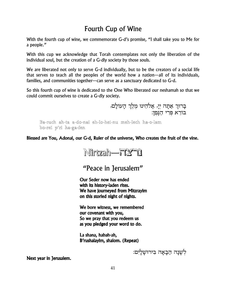## **Fourth Cup of Wine**

With the fourth cup of wine, we commemorate G-d's promise, "I shall take you to Me for a people."

With this cup we acknowledge that Torah contemplates not only the liberation of the individual soul, but the creation of a G-dly society by those souls.

We are liberated not only to serve G-d individually, but to be the creators of a social life that serves to teach all the peoples of the world how a nation—all of its individuals, families, and communities together—can serve as a sanctuary dedicated to G-d.

So this fourth cup of wine is dedicated to the One Who liberated our neshamah so that we could commit ourselves to create a G-dly society.

> בְרוּךְ אַתָּה יְיָ, אֱלֹהֵינוּ מֶלֶךְ הָעוֹלָם, בורא פרי הגפו:

Ba-ruch ah-ta a-do-nai eh-lo-hei-nu meh-lech ha-o-lam bo-rei p'ri ha-ga-fen

Blessed are You, Adonai, our G-d, Ruler of the universe, Who creates the fruit of the vine.



"Peace in 1erusalem"

Our Seder now has ended with its history-laden rites. We have journeyed from Mitzrayim on this storied night of nights.

We bore witness, we remembered our covenant with you, So we pray that you redeem us as you pledged your word to do.

La shana, habah-ah, B'rushalayim, shalom. (Repeat)

לְשָׁנָה הַבָּאָה בִּירוּשָׁלָיִם:

Next year in Jerusalem.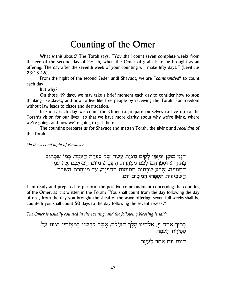# Counting of the Omer

What is this about? The Torah says: "You shall count seven complete weeks from the eve of the second day of Pesach, when the Omer of grain is to be brought as an offering. The day after the seventh week of your counting will make fifty days." (Leviticus  $23:15-16$ .

From the night of the second Seder until Shavuot, we are "commanded" to count each day.

But why?

On those 49 days, we may take a brief moment each day to consider how to stop thinking like slaves, and how to live like free people by receiving the Torah. For freedom without law leads to chaos and degradation.

In short, each day we count the Omer to prepare ourselves to live up to the Torah's vision for our lives-so that we have more clarity about why we're living, where we're going, and how we're going to get there.

The counting prepares us for Shavuot and mattan Torah, the giving and *receiving* of the Torah.

On the second night of Passover:

הִנְנִי מוּכֵן וּמִזְמֵן לְקַיֵּם מִצְוַת עֲשֶׂה שֶל סְפְרַת הַעַמֵר, כִּמוֹ שֶכַּתוּב בָּתּוֹרָה: וּסְפַרְתֵּם לָכֶם מִמָּחֲרַת הַשַּׁבָּת, מִיּוֹם הַבִיאֲכֶם אֶת עֹמֶר הַתְּנוּפָה, שֶבָע שַבָּתוֹת תְּמִימוֹת תְּהִיִינַה, עַד מִמַּחֲרַת הַשַּׁבָּת השביעית תספרו חמשים יום.

I am ready and prepared to perform the positive commandment concerning the counting of the Omer, as it is written in the Torah: "You shall count from the day following the day of rest, from the day you brought the sheaf of the wave offering; seven full weeks shall be counted; you shall count 50 days to the day following the seventh week."

The Omer is usually counted in the evening, and the following blessing is said:

בָרוּךְ אַתָה יְיָ, אֱלֹהֵינוּ מֶלֶךְ הָעוֹלָם, אֲשֶר קִדְשָנוּ בְּמִצְוֹתָיו וְצִוָּנוּ עַל ספירת הָעמֶר.

היום יום אחד לעמר.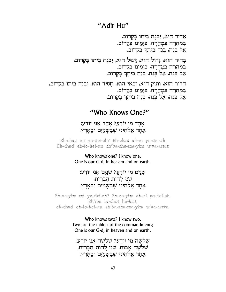## "Adir Hu"

אַרִּיר הוּא, יִבְנֵה בֵיתוֹ בִקַרוֹב, במהרה במהרה, בימינו בקרוב. אֵל בִּנֵה, בִּנֵה בֵיתִךְ בִקְרוֹב.

בַחוּר הוּא, גַדוֹל הוּא, דַגוּל הוּא, יִבְנֶה בֵיתוֹ בִקַרוֹב, במהרה במהרה, בימינו בקרוב. אל בְּנֵה, אֵל בִּנֵה, בִּנֵה בֵיתֹךְ בקרוב.

הַדוּר הוּא, וַתְיק הוּא, וַכַּאי הוּא, חַסִיד הוּא, יִבְנֵה בֵיתוֹ בִּקַרוֹב, במהרה במהרה, בימינו בקרוב. אל בנה, אל בנה, בנה ביתר בקרוב.

## "Who Knows One?"

אָחַד מִי יוֹדֻעַ? אָחַד אַנִי יוֹדֶעַ: אַחַד אַלהֵינוּ שֶׁבַּשַּׁמַיִם וּבַאַרֶץ.

Eh-chad mi yo-dei-ah? Eh-chad ah-ni yo-dei-ah Eh-chad eh-lo-hei-nu sh'ba-sha-ma-yim u'va-aretz

> Who knows one? I know one. One is our G-d, in heaven and on earth.

:שנים מי יודע? שנים אני יודע שני לחות הברית, אחד אלהינו שבשמים ובארץ.

Sh-na-yim mi yo-dei-ah? Sh-na-yim ah-ni yo-dei-ah. Sh'nei lu-chot ha-brit, eh-chad eh-lo-hei-nu sh'ba-sha-ma-yim u'va-aretz.

> Who knows two? I know two. Two are the tablets of the commandments; One is our G-d, in heaven and on earth.

שלשה מי יודע? שלשה אני יודע: שלשה אבות, שני לחות הברית, אחד אלהינו שבשמים ובארץ.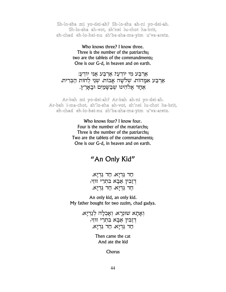Sh-lo-sha mi yo-dei-ah? Sh-lo-sha ah-ni yo-dei-ah. Sh-lo-sha ah-vot, sh'nei lu-chot ha-brit, eh-chad eh-lo-hei-nu sh'ba-sha-ma-yim u'va-aretz.

> Who knows three? I know three. Three is the number of the patriarchs; two are the tablets of the commandments; One is our G-d, in heaven and on earth.

ארבע מי יודע? ארבע אני יודע: אַרבַע אמַהות, שלשה אַבות, שני לחות הַבִּרית, אחד אלהינו שבשמים ובארץ.

Ar-bah mi yo-dei-ah? Ar-bah ah-ni yo-dei-ah. Ar-bah i-ma-chot, sh'lo-sha ah-vot, sh'nei lu-chot ha-brit, eh-chad eh-lo-hei-nu sh'ba-sha-ma-yim u'va-aretz.

> Who knows four? I know four. Four is the number of the matriarchs: Three is the number of the patriarchs; Two are the tablets of the commandments; One is our G-d, in heaven and on earth.

## "An Only Kid"

חֲדְנַא, חֲדְנַא. דזבין אבא בתרי זוּזי, חֲדְנַא, חֲדְנַא.

An only kid, an only kid. My father bought for two zuzim, chad gadya.

> וְאָתָא שוּנִרָא, וְאָכְלָה לְגַדְיָא, דזבין אבא בתרי זוּזי, חֲדְנַא, חֲדְנַא.

> > Then came the cat And ate the kid

> > > Chorus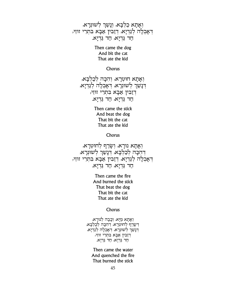וִאָתָא כַלִבָּא, וְנָשַׁן לִשוּנִרָא, דְאָכְלָה לְגַדְיָא, דְזַבִּין אַבָּא בִתְרֵי זוּזֵי, חֲד גַּדְיָא, חֲד גַּדְיָא.

> Then came the dog And bit the cat That ate the kid

> > Chorus

וְאַתָא חוּטְרָא, וְהִכָּה לְכַלְבָּא, דְנָשַׁךְ לְשׁוּנְרָא, דְאָכְלָה לְגַדְיָא, דְזַבִּין אַבָא בִתְרֵי זוּזֵי, חֲד גַּדְיָא, חֲד גַּדְיָא.

> Then came the stick And beat the dog That bit the cat That ate the kid

> > Chorus

וְאָתָא נוּרָא, וְשָׂרַף לְחוּטְרָא, דהכה לכלכא, דנשר לשונרא, דְאָכְלָה לְגַדְיָא, דְזַבִּין אַבָּא בִתְרֵי זוּזֵי, חֲד גַּדְיָא, חֲד גַּדְיְא.

> Then came the fire And burned the stick That beat the dog That bit the cat That ate the kid

> > Chorus

וְאָתָא מַיַּא, וְכָבָה לְנוּרָא, דְשָׂרַף לְחוּטְרָא, דְהִכָּה לְכַלְבַּא, דְנָשַרְ לְשוּנִרָא, דְאָכְלָה לְגַדְיָא, דְזַבִּין אַבָא בִתְרֵי זוּזֵי, חֲד גַּדְיָא, חֲד גַּדְיָא.

Then came the water And quenched the fire That burned the stick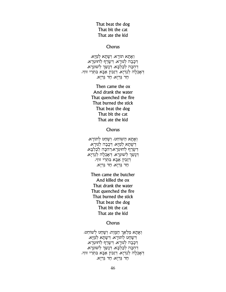## That beat the dog That bit the cat That ate the kid

#### Chorus

ואתא תורא, ושתא למיא, דְּכָבָה לְנוּרָא, דְשָׁרַף לְחוּטְרָא,<br>דְּכָבָה לְנוּרָא, דְּשָׁרְ לְחוּטְרָא, דְאָכְלָה לְגַדְיָא, דְזַבִין אַבָא בִתְרֵי זוּזֵי, חַד גַּדְיָא, חַד גַּדְיָא.

> Then came the ox And drank the water That quenched the fire That burned the stick That beat the dog That bit the cat That ate the kid

> > Chorus

וְאָתָא הַשׁוֹחֵט, וְשָׁחַט לְתוֹרָא, דְשָׁתָא לְמַיָּא, דְכָבָה לְנוּרָא, דְשַׂרַף לְחוּטְרָא,דְהִכָּה לְכַלְבָא, דְנָשַׁךְ לְשׁוּנִרָא, דְאָכְלָה לְגַדְיָא, דְזַבִּין אַבָא בִתְרֵי זוּזֵי, חַד גַּדְיָא, חַד גַּדְיָא.

Then came the butcher And killed the ox That drank the water That quenched the fire That burned the stick That beat the dog That bit the cat That ate the kid

#### Chorus

וְאַתָא מַלְאַךְ הַמַּוֵת, וְשָׁחַט לְשׁוֹחֵט, דְשָׁחַט לְתוּרָא, דְשָׁתָא לְמַיָּא, דְכָבָה לְנוּרָא, דְשָׂרַף לְחוּטְרָא, דְהִכָּה לְכַלְבָא, דְנָשַׂךְ לְשׁוּנְרָא, דְאָכְלָה לְגַדְיָא, דְזַבְּין אַבָּא בְּתְרֵי זוּזֵי, חַד גַּדְיָא, חַד גַּדְיָא.